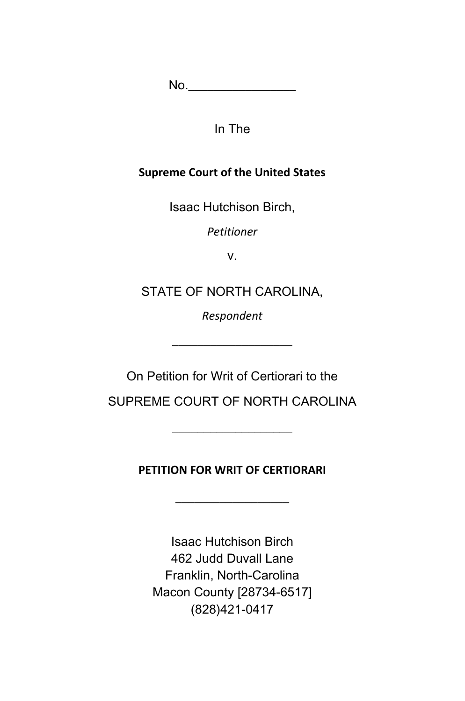No.\_\_\_\_\_\_\_\_\_\_\_\_\_\_\_\_\_

In The

## **Supreme Court of the United States**

Isaac Hutchison Birch,

*Petitioner*

v.

STATE OF NORTH CAROLINA,

*Respondent*

 $\_$ 

On Petition for Writ of Certiorari to the

SUPREME COURT OF NORTH CAROLINA

\_\_\_\_\_\_\_\_\_\_\_\_\_\_\_\_\_\_\_

**PETITION FOR WRIT OF CERTIORARI**

Isaac Hutchison Birch 462 Judd Duvall Lane Franklin, North-Carolina Macon County [28734-6517] (828)421-0417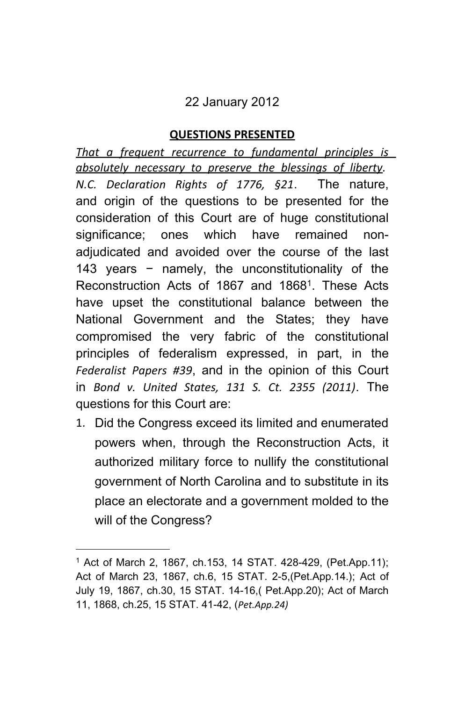# 22 January 2012

## **QUESTIONS PRESENTED**

*That a frequent recurrence to fundamental principles is absolutely necessary to preserve the blessings of liberty. N.C. Declaration Rights of 1776, §21*. The nature, and origin of the questions to be presented for the consideration of this Court are of huge constitutional significance; ones which have remained nonadjudicated and avoided over the course of the last 143 years − namely, the unconstitutionality of the Reconstruction Acts of 1867 and 1868<sup>1</sup>. These Acts have upset the constitutional balance between the National Government and the States; they have compromised the very fabric of the constitutional principles of federalism expressed, in part, in the *Federalist Papers #39*, and in the opinion of this Court in *Bond v. United States, 131 S. Ct. 2355 (2011)*. The questions for this Court are:

1. Did the Congress exceed its limited and enumerated powers when, through the Reconstruction Acts, it authorized military force to nullify the constitutional government of North Carolina and to substitute in its place an electorate and a government molded to the will of the Congress?

<sup>1</sup> Act of March 2, 1867, ch.153, 14 STAT. 428-429, (Pet.App.11); Act of March 23, 1867, ch.6, 15 STAT. 2-5,(Pet.App.14.); Act of July 19, 1867, ch.30, 15 STAT. 14-16,( Pet.App.20); Act of March 11, 1868, ch.25, 15 STAT. 41-42, (*Pet.App.24)*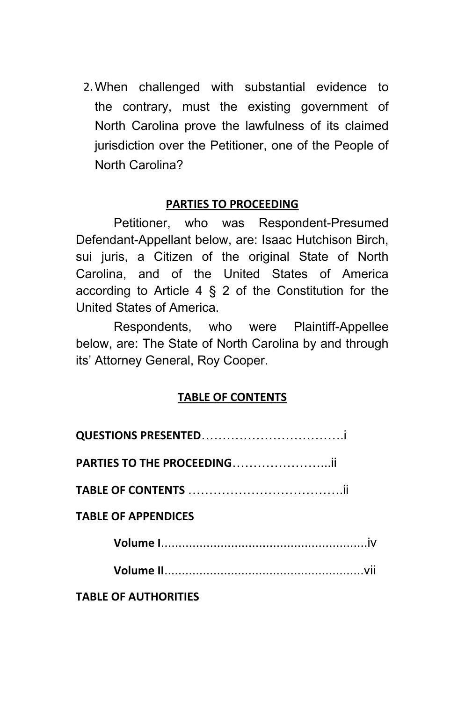2.When challenged with substantial evidence to the contrary, must the existing government of North Carolina prove the lawfulness of its claimed jurisdiction over the Petitioner, one of the People of North Carolina?

#### **PARTIES TO PROCEEDING**

Petitioner, who was Respondent-Presumed Defendant-Appellant below, are: Isaac Hutchison Birch, sui juris, a Citizen of the original State of North Carolina, and of the United States of America according to Article  $4 \S 2$  of the Constitution for the United States of America.

Respondents, who were Plaintiff-Appellee below, are: The State of North Carolina by and through its' Attorney General, Roy Cooper.

#### **TABLE OF CONTENTS**

| PARTIES TO THE PROCEEDING   |  |
|-----------------------------|--|
|                             |  |
| <b>TABLE OF APPENDICES</b>  |  |
|                             |  |
|                             |  |
| <b>TABLE OF AUTHORITIES</b> |  |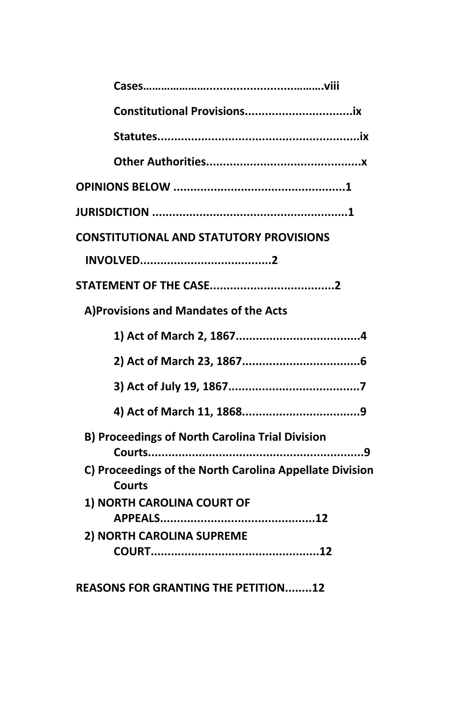| <b>CONSTITUTIONAL AND STATUTORY PROVISIONS</b>                                                                                            |
|-------------------------------------------------------------------------------------------------------------------------------------------|
|                                                                                                                                           |
|                                                                                                                                           |
| A) Provisions and Mandates of the Acts                                                                                                    |
|                                                                                                                                           |
|                                                                                                                                           |
|                                                                                                                                           |
|                                                                                                                                           |
| <b>B) Proceedings of North Carolina Trial Division</b><br>. 9<br>C) Proceedings of the North Carolina Appellate Division<br><b>Courts</b> |
| 1) NORTH CAROLINA COURT OF<br>2) NORTH CAROLINA SUPREME                                                                                   |
|                                                                                                                                           |

**REASONS FOR GRANTING THE PETITION........12**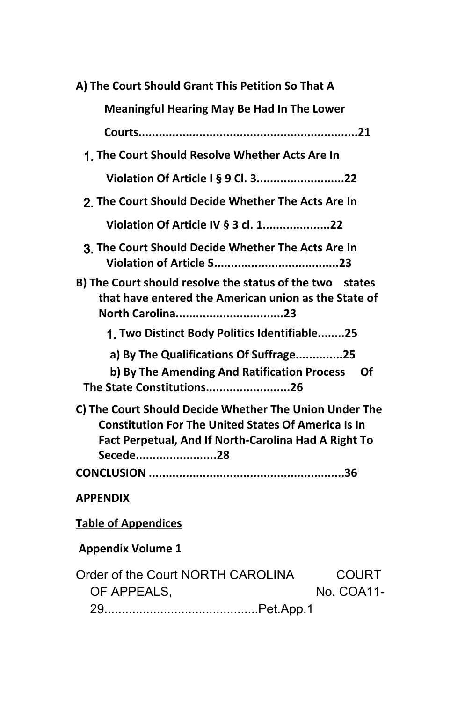| A) The Court Should Grant This Petition So That A                                                                                                                                        |  |  |
|------------------------------------------------------------------------------------------------------------------------------------------------------------------------------------------|--|--|
| <b>Meaningful Hearing May Be Had In The Lower</b>                                                                                                                                        |  |  |
|                                                                                                                                                                                          |  |  |
| 1. The Court Should Resolve Whether Acts Are In                                                                                                                                          |  |  |
| Violation Of Article I § 9 Cl. 322                                                                                                                                                       |  |  |
| 2. The Court Should Decide Whether The Acts Are In                                                                                                                                       |  |  |
| Violation Of Article IV § 3 cl. 122                                                                                                                                                      |  |  |
| 3. The Court Should Decide Whether The Acts Are In                                                                                                                                       |  |  |
| B) The Court should resolve the status of the two states<br>that have entered the American union as the State of<br>North Carolina23                                                     |  |  |
| 1. Two Distinct Body Politics Identifiable25                                                                                                                                             |  |  |
| a) By The Qualifications Of Suffrage25<br>b) By The Amending And Ratification Process<br><b>Of</b><br>The State Constitutions26                                                          |  |  |
| C) The Court Should Decide Whether The Union Under The<br><b>Constitution For The United States Of America Is In</b><br>Fact Perpetual, And If North-Carolina Had A Right To<br>Secede28 |  |  |
|                                                                                                                                                                                          |  |  |
| <b>APPENDIX</b>                                                                                                                                                                          |  |  |
| <b>Table of Appendices</b>                                                                                                                                                               |  |  |
| <b>Appendix Volume 1</b>                                                                                                                                                                 |  |  |
| Order of the Court NORTH CAROLINA<br><b>COURT</b><br>No. COA11-<br>OF APPEALS,                                                                                                           |  |  |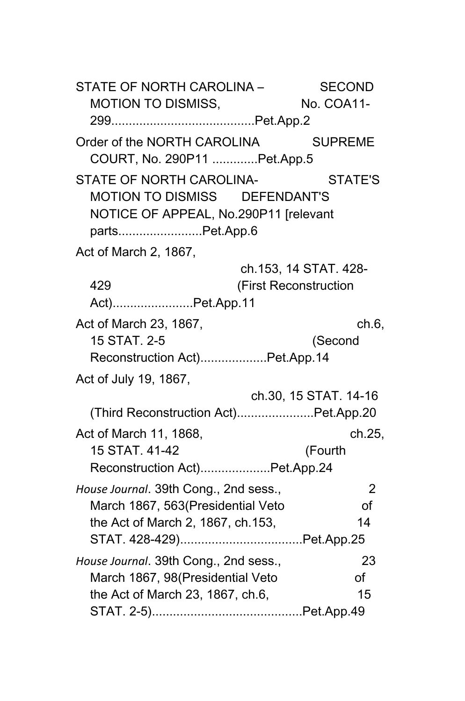STATE OF NORTH CAROLINA – SECOND MOTION TO DISMISS. No. COA11-299.........................................Pet.App.2 Order of the NORTH CAROLINA SUPREME COURT, No. 290P11 .............Pet.App.5 STATE OF NORTH CAROLINA- STATE'S MOTION TO DISMISS DEFENDANT'S NOTICE OF APPEAL, No.290P11 [relevant parts........................Pet.App.6 Act of March 2, 1867, ch.153, 14 STAT. 428- 429 (First Reconstruction Act).......................Pet.App.11 Act of March 23, 1867, ch.6, ch.6, 15 STAT. 2-5 (Second Reconstruction Act)...................Pet.App.14 Act of July 19, 1867, ch.30, 15 STAT. 14-16 (Third Reconstruction Act)......................Pet.App.20 Act of March 11, 1868, ch.25, 15 STAT. 41-42 (Fourth Reconstruction Act)....................Pet.App.24 *House Journal*. 39th Cong., 2nd sess., 2 March 1867, 563 (Presidential Veto of the Act of March 2, 1867, ch.153, 14 STAT. 428-429)...................................Pet.App.25 *House Journal*. 39th Cong., 2nd sess., 23 March 1867, 98 (Presidential Veto of the Act of March 23, 1867, ch.6, 15 STAT. 2-5)...........................................Pet.App.49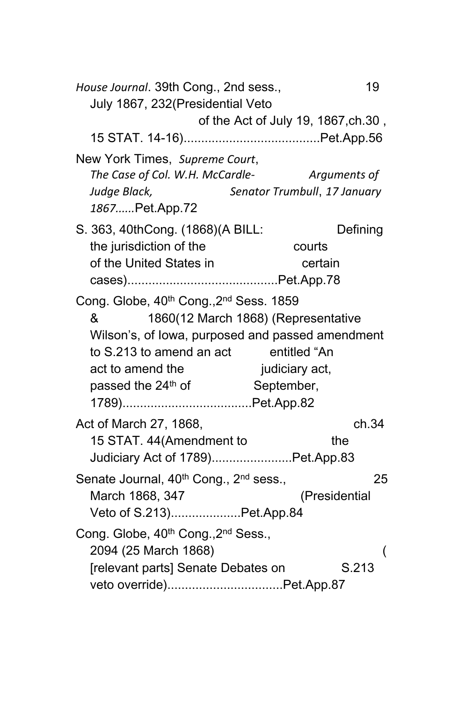| July 1867, 232 (Presidential Veto<br>of the Act of July 19, 1867, ch. 30,<br>New York Times, Supreme Court,<br>Arguments of<br>The Case of Col. W.H. McCardle-<br>Senator Trumbull, 17 January<br>Judge Black,<br>1867Pet.App.72<br>S. 363, 40thCong. (1868)(A BILL:<br>Defining<br>the jurisdiction of the<br>courts<br>of the United States in<br>certain<br>Cong. Globe, 40th Cong., 2nd Sess. 1859<br>1860(12 March 1868) (Representative<br>&<br>Wilson's, of lowa, purposed and passed amendment<br>to S.213 to amend an act entitled "An<br>act to amend the<br>judiciary act,<br>September,<br>passed the 24 <sup>th</sup> of<br>Act of March 27, 1868,<br>ch.34<br>15 STAT. 44(Amendment to<br>the<br>Judiciary Act of 1789)Pet.App.83<br>Senate Journal, 40 <sup>th</sup> Cong., 2 <sup>nd</sup> sess.,<br>25 |
|-------------------------------------------------------------------------------------------------------------------------------------------------------------------------------------------------------------------------------------------------------------------------------------------------------------------------------------------------------------------------------------------------------------------------------------------------------------------------------------------------------------------------------------------------------------------------------------------------------------------------------------------------------------------------------------------------------------------------------------------------------------------------------------------------------------------------|
|                                                                                                                                                                                                                                                                                                                                                                                                                                                                                                                                                                                                                                                                                                                                                                                                                         |
|                                                                                                                                                                                                                                                                                                                                                                                                                                                                                                                                                                                                                                                                                                                                                                                                                         |
|                                                                                                                                                                                                                                                                                                                                                                                                                                                                                                                                                                                                                                                                                                                                                                                                                         |
|                                                                                                                                                                                                                                                                                                                                                                                                                                                                                                                                                                                                                                                                                                                                                                                                                         |
|                                                                                                                                                                                                                                                                                                                                                                                                                                                                                                                                                                                                                                                                                                                                                                                                                         |
|                                                                                                                                                                                                                                                                                                                                                                                                                                                                                                                                                                                                                                                                                                                                                                                                                         |
|                                                                                                                                                                                                                                                                                                                                                                                                                                                                                                                                                                                                                                                                                                                                                                                                                         |
|                                                                                                                                                                                                                                                                                                                                                                                                                                                                                                                                                                                                                                                                                                                                                                                                                         |
|                                                                                                                                                                                                                                                                                                                                                                                                                                                                                                                                                                                                                                                                                                                                                                                                                         |
|                                                                                                                                                                                                                                                                                                                                                                                                                                                                                                                                                                                                                                                                                                                                                                                                                         |
|                                                                                                                                                                                                                                                                                                                                                                                                                                                                                                                                                                                                                                                                                                                                                                                                                         |
|                                                                                                                                                                                                                                                                                                                                                                                                                                                                                                                                                                                                                                                                                                                                                                                                                         |
|                                                                                                                                                                                                                                                                                                                                                                                                                                                                                                                                                                                                                                                                                                                                                                                                                         |
|                                                                                                                                                                                                                                                                                                                                                                                                                                                                                                                                                                                                                                                                                                                                                                                                                         |
|                                                                                                                                                                                                                                                                                                                                                                                                                                                                                                                                                                                                                                                                                                                                                                                                                         |
|                                                                                                                                                                                                                                                                                                                                                                                                                                                                                                                                                                                                                                                                                                                                                                                                                         |
| March 1868, 347<br>(Presidential                                                                                                                                                                                                                                                                                                                                                                                                                                                                                                                                                                                                                                                                                                                                                                                        |
| Veto of S.213)Pet.App.84                                                                                                                                                                                                                                                                                                                                                                                                                                                                                                                                                                                                                                                                                                                                                                                                |
| Cong. Globe, 40 <sup>th</sup> Cong., 2 <sup>nd</sup> Sess.,<br>2094 (25 March 1868)<br>(<br>S.213                                                                                                                                                                                                                                                                                                                                                                                                                                                                                                                                                                                                                                                                                                                       |
| [relevant parts] Senate Debates on<br>veto override)Pet.App.87                                                                                                                                                                                                                                                                                                                                                                                                                                                                                                                                                                                                                                                                                                                                                          |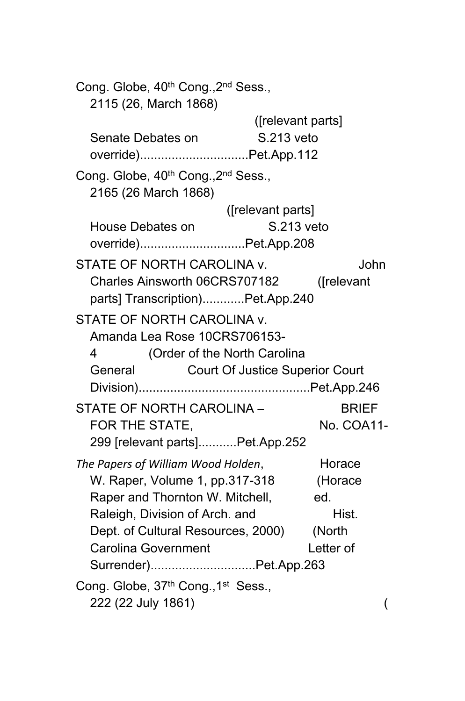| Cong. Globe, 40 <sup>th</sup> Cong., 2 <sup>nd</sup> Sess.,<br>2115 (26, March 1868) |                                        |              |
|--------------------------------------------------------------------------------------|----------------------------------------|--------------|
|                                                                                      | ([relevant parts]                      |              |
| Senate Debates on                                                                    | S.213 veto                             |              |
| override)Pet.App.112                                                                 |                                        |              |
| Cong. Globe, 40 <sup>th</sup> Cong., 2 <sup>nd</sup> Sess.,<br>2165 (26 March 1868)  |                                        |              |
|                                                                                      | ([relevant parts]                      |              |
| House Debates on                                                                     | S.213 veto                             |              |
| override)Pet.App.208                                                                 |                                        |              |
| STATE OF NORTH CAROLINA v.                                                           |                                        | John         |
| Charles Ainsworth 06CRS707182                                                        |                                        | ([relevant   |
| parts] Transcription)Pet.App.240                                                     |                                        |              |
| STATE OF NORTH CAROLINA v.                                                           |                                        |              |
| Amanda Lea Rose 10CRS706153-                                                         |                                        |              |
| 4<br>(Order of the North Carolina                                                    |                                        |              |
| General                                                                              | <b>Court Of Justice Superior Court</b> |              |
|                                                                                      |                                        |              |
| STATE OF NORTH CAROLINA -                                                            |                                        | <b>BRIEF</b> |
| FOR THE STATE,                                                                       |                                        | No. COA11-   |
| 299 [relevant parts]Pet.App.252                                                      |                                        |              |
| The Papers of William Wood Holden,                                                   |                                        | Horace       |
| W. Raper, Volume 1, pp.317-318                                                       |                                        | (Horace      |
| Raper and Thornton W. Mitchell,                                                      |                                        | ed.          |
| Raleigh, Division of Arch. and                                                       |                                        | Hist.        |
| Dept. of Cultural Resources, 2000)                                                   |                                        | (North       |
| <b>Carolina Government</b>                                                           |                                        | Letter of    |
| Surrender)Pet.App.263                                                                |                                        |              |
| Cong. Globe, 37th Cong., 1st Sess.,                                                  |                                        |              |
| 222 (22 July 1861)                                                                   |                                        | (            |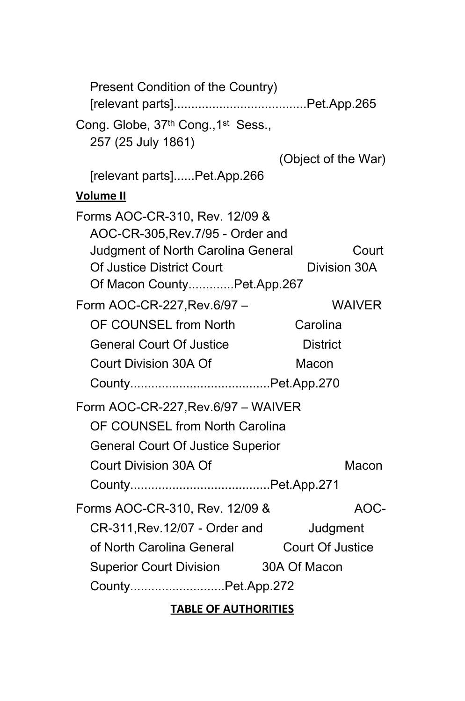| Present Condition of the Country)                                                                         |                     |
|-----------------------------------------------------------------------------------------------------------|---------------------|
| Cong. Globe, 37th Cong., 1st Sess.,<br>257 (25 July 1861)                                                 |                     |
|                                                                                                           | (Object of the War) |
| [relevant parts]Pet.App.266                                                                               |                     |
| <b>Volume II</b>                                                                                          |                     |
| Forms AOC-CR-310, Rev. 12/09 &<br>AOC-CR-305, Rev. 7/95 - Order and<br>Judgment of North Carolina General | Court               |
| Of Justice District Court<br>Of Macon CountyPet.App.267                                                   | Division 30A        |
| Form AOC-CR-227, Rev. 6/97 -                                                                              | <b>WAIVER</b>       |
| OF COUNSEL from North                                                                                     | Carolina            |
| <b>General Court Of Justice</b>                                                                           | <b>District</b>     |
| Court Division 30A Of                                                                                     | Macon               |
|                                                                                                           |                     |
| Form AOC-CR-227, Rev.6/97 - WAIVER                                                                        |                     |
| OF COUNSEL from North Carolina                                                                            |                     |
| <b>General Court Of Justice Superior</b>                                                                  |                     |
| Court Division 30A Of                                                                                     | Macon               |
|                                                                                                           |                     |
| Forms AOC-CR-310, Rev. 12/09 &                                                                            | AOC-                |
| CR-311, Rev. 12/07 - Order and                                                                            | Judgment            |
| of North Carolina General                                                                                 | Court Of Justice    |
| Superior Court Division 30A Of Macon                                                                      |                     |
| CountyPet.App.272                                                                                         |                     |
| <b>TABLE OF AUTHORITIES</b>                                                                               |                     |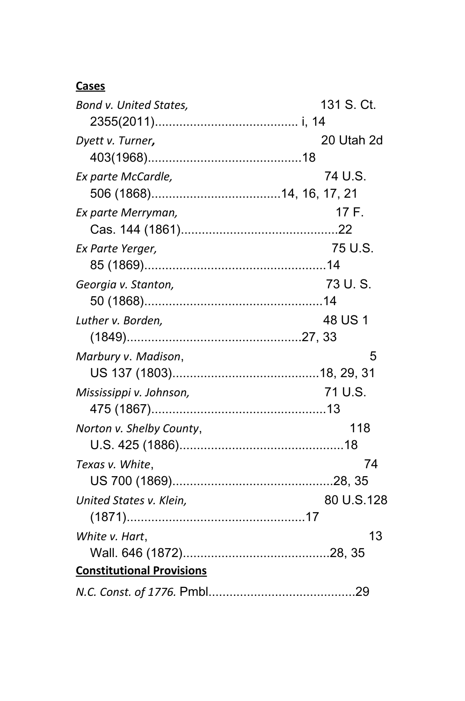## **Cases**

| Bond v. United States,           | 131 S. Ct. |
|----------------------------------|------------|
|                                  |            |
| Dyett v. Turner,                 | 20 Utah 2d |
|                                  |            |
| Ex parte McCardle,               | 74 U.S.    |
|                                  |            |
| Ex parte Merryman,               | 17 F.      |
|                                  |            |
| Ex Parte Yerger,                 | 75 U.S.    |
|                                  |            |
| Georgia v. Stanton,              | 73 U.S.    |
|                                  |            |
| Luther v. Borden,                | 48 US 1    |
|                                  |            |
| Marbury v. Madison,              | 5          |
|                                  |            |
| Mississippi v. Johnson,          | 71 U.S.    |
|                                  |            |
| Norton v. Shelby County,         | 118        |
|                                  |            |
| Texas v. White,                  | 74         |
|                                  |            |
| United States v. Klein,          | 80 U.S.128 |
|                                  |            |
| White v. Hart,                   | 13         |
|                                  |            |
| <b>Constitutional Provisions</b> |            |
|                                  |            |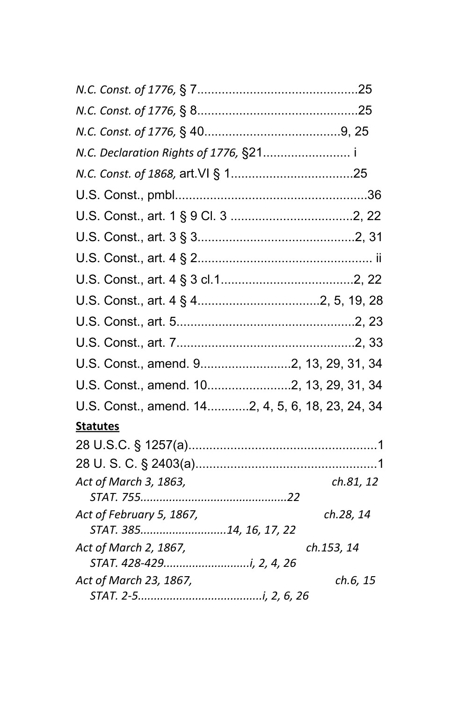| U.S. Const., amend. 92, 13, 29, 31, 34           |            |
|--------------------------------------------------|------------|
| U.S. Const., amend. 102, 13, 29, 31, 34          |            |
| U.S. Const., amend. 142, 4, 5, 6, 18, 23, 24, 34 |            |
| <b>Statutes</b>                                  |            |
|                                                  |            |
|                                                  |            |
| Act of March 3, 1863,                            | ch.81, 12  |
| Act of February 5, 1867,                         | ch.28, 14  |
| STAT. 38514, 16, 17, 22                          |            |
| Act of March 2, 1867,                            | ch.153, 14 |
|                                                  |            |
| Act of March 23, 1867,                           | ch.6, 15   |
|                                                  |            |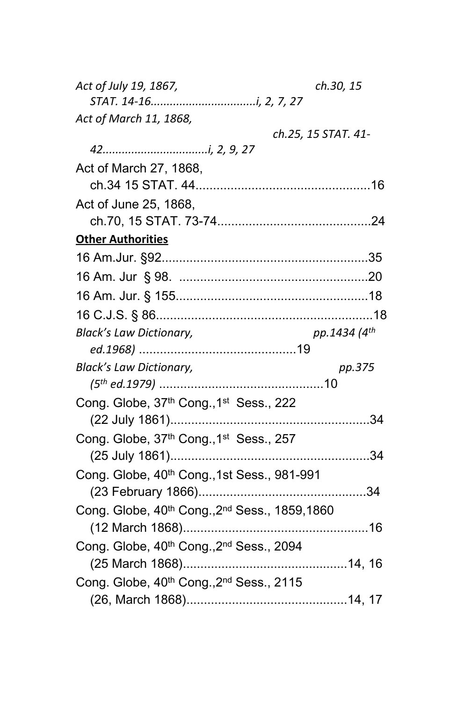| Act of July 19, 1867,                                   | ch.30, 15                |
|---------------------------------------------------------|--------------------------|
|                                                         |                          |
| Act of March 11, 1868,                                  |                          |
|                                                         | ch.25, 15 STAT. 41-      |
|                                                         |                          |
| Act of March 27, 1868,                                  |                          |
|                                                         |                          |
| Act of June 25, 1868,                                   |                          |
|                                                         |                          |
| <b>Other Authorities</b>                                |                          |
|                                                         |                          |
|                                                         |                          |
|                                                         |                          |
|                                                         |                          |
| <b>Black's Law Dictionary,</b>                          | pp.1434 (4 <sup>th</sup> |
|                                                         |                          |
| <b>Black's Law Dictionary,</b>                          | pp.375                   |
|                                                         |                          |
| Cong. Globe, 37th Cong., 1st Sess., 222                 |                          |
|                                                         |                          |
| Cong. Globe, 37th Cong., 1st Sess., 257                 |                          |
|                                                         |                          |
| Cong. Globe, 40 <sup>th</sup> Cong., 1st Sess., 981-991 |                          |
|                                                         |                          |
| Cong. Globe, 40th Cong., 2nd Sess., 1859, 1860          |                          |
|                                                         |                          |
| Cong. Globe, 40th Cong., 2nd Sess., 2094                |                          |
|                                                         |                          |
| Cong. Globe, 40th Cong., 2nd Sess., 2115                |                          |
|                                                         |                          |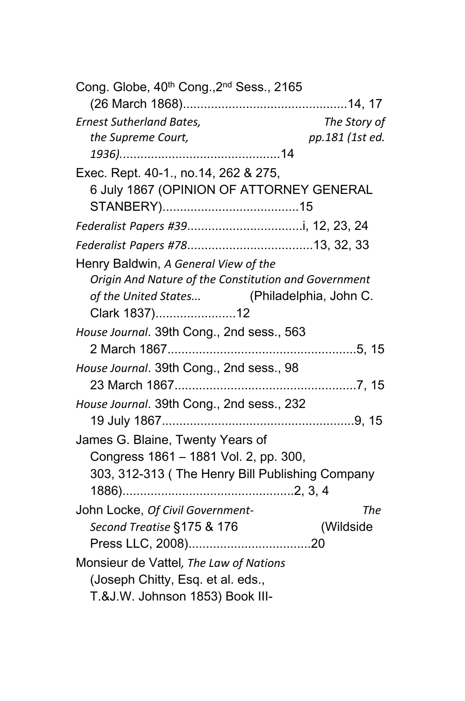| Cong. Globe, 40 <sup>th</sup> Cong., 2 <sup>nd</sup> Sess., 2165 |                 |
|------------------------------------------------------------------|-----------------|
|                                                                  |                 |
| <b>Ernest Sutherland Bates,</b>                                  | The Story of    |
| the Supreme Court,                                               | pp.181 (1st ed. |
|                                                                  |                 |
| Exec. Rept. 40-1., no.14, 262 & 275,                             |                 |
| 6 July 1867 (OPINION OF ATTORNEY GENERAL                         |                 |
|                                                                  |                 |
|                                                                  |                 |
|                                                                  |                 |
| Henry Baldwin, A General View of the                             |                 |
| Origin And Nature of the Constitution and Government             |                 |
| of the United States (Philadelphia, John C.                      |                 |
| Clark 1837)12                                                    |                 |
| House Journal. 39th Cong., 2nd sess., 563                        |                 |
|                                                                  |                 |
| House Journal. 39th Cong., 2nd sess., 98                         |                 |
|                                                                  |                 |
| House Journal. 39th Cong., 2nd sess., 232                        |                 |
|                                                                  |                 |
| James G. Blaine, Twenty Years of                                 |                 |
| Congress 1861 - 1881 Vol. 2, pp. 300,                            |                 |
| 303, 312-313 (The Henry Bill Publishing Company                  |                 |
|                                                                  |                 |
| John Locke, Of Civil Government-                                 | The             |
| Second Treatise §175 & 176                                       | (Wildside       |
|                                                                  |                 |
| Monsieur de Vattel, The Law of Nations                           |                 |
| (Joseph Chitty, Esq. et al. eds.,                                |                 |
| T.&J.W. Johnson 1853) Book III-                                  |                 |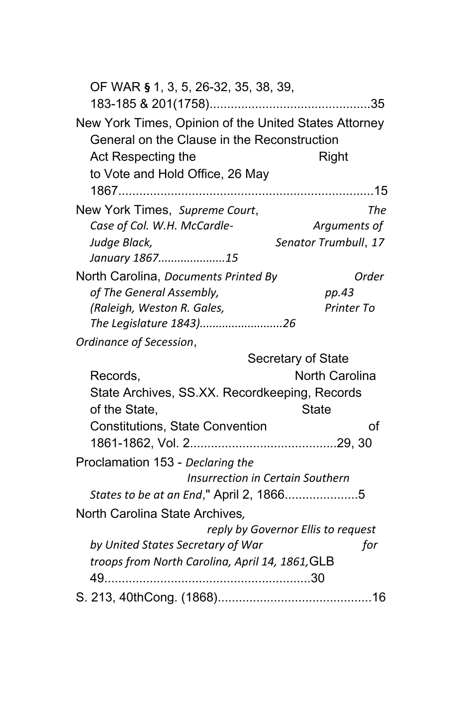| OF WAR § 1, 3, 5, 26-32, 35, 38, 39,                                                                 |                                    |
|------------------------------------------------------------------------------------------------------|------------------------------------|
| New York Times, Opinion of the United States Attorney<br>General on the Clause in the Reconstruction |                                    |
| Act Respecting the                                                                                   | Right                              |
| to Vote and Hold Office, 26 May                                                                      |                                    |
|                                                                                                      |                                    |
| New York Times, Supreme Court,                                                                       | The                                |
| Case of Col. W.H. McCardle-                                                                          | Arguments of                       |
| Judge Black,                                                                                         | Senator Trumbull, 17               |
| January 186715                                                                                       |                                    |
| North Carolina, Documents Printed By                                                                 | Order                              |
| of The General Assembly,                                                                             | pp.43                              |
| (Raleigh, Weston R. Gales,                                                                           | Printer To                         |
| The Legislature 1843)26                                                                              |                                    |
| Ordinance of Secession,                                                                              |                                    |
|                                                                                                      | Secretary of State                 |
| Records,                                                                                             | <b>North Carolina</b>              |
| State Archives, SS.XX. Recordkeeping, Records                                                        |                                    |
| of the State,                                                                                        | <b>State</b>                       |
| <b>Constitutions, State Convention</b>                                                               | οf                                 |
|                                                                                                      |                                    |
| Proclamation 153 - Declaring the                                                                     |                                    |
| <b>Insurrection in Certain Southern</b>                                                              |                                    |
| States to be at an End," April 2, 18665                                                              |                                    |
| North Carolina State Archives,                                                                       |                                    |
|                                                                                                      | reply by Governor Ellis to request |
| by United States Secretary of War                                                                    | for                                |
| troops from North Carolina, April 14, 1861, GLB                                                      |                                    |
| $49$                                                                                                 |                                    |
|                                                                                                      |                                    |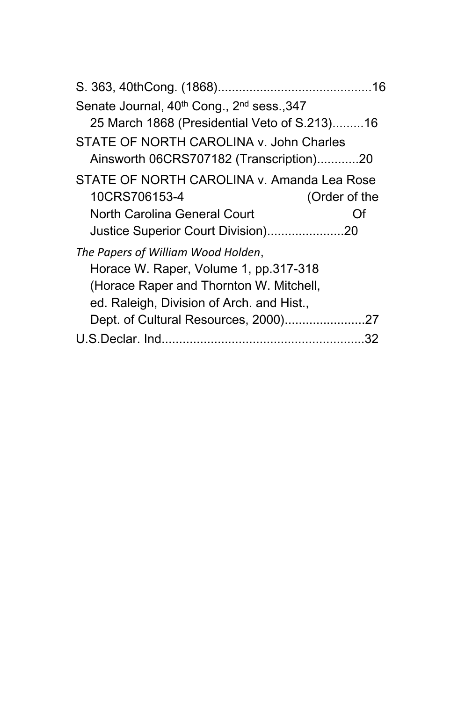|                                                                                    | 16 |
|------------------------------------------------------------------------------------|----|
| Senate Journal, 40 <sup>th</sup> Cong., 2 <sup>nd</sup> sess., 347                 |    |
| 25 March 1868 (Presidential Veto of S.213)16                                       |    |
| STATE OF NORTH CAROLINA v. John Charles<br>Ainsworth 06CRS707182 (Transcription)20 |    |
| STATE OF NORTH CAROLINA v. Amanda Lea Rose<br>10CRS706153-4<br>(Order of the       |    |
| North Carolina General Court<br>Ωf                                                 |    |
| Justice Superior Court Division)20                                                 |    |
| The Papers of William Wood Holden,                                                 |    |
| Horace W. Raper, Volume 1, pp.317-318                                              |    |
| (Horace Raper and Thornton W. Mitchell,                                            |    |
| ed. Raleigh, Division of Arch. and Hist.,                                          |    |
|                                                                                    |    |
|                                                                                    | 32 |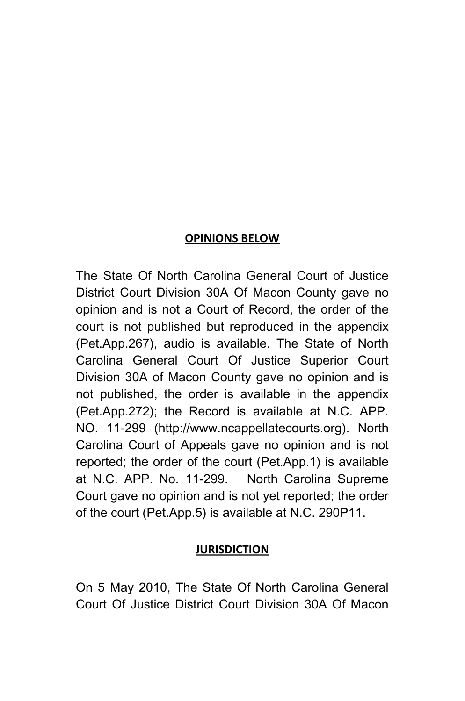#### **OPINIONS BELOW**

The State Of North Carolina General Court of Justice District Court Division 30A Of Macon County gave no opinion and is not a Court of Record, the order of the court is not published but reproduced in the appendix (Pet.App.267), audio is available. The State of North Carolina General Court Of Justice Superior Court Division 30A of Macon County gave no opinion and is not published, the order is available in the appendix (Pet.App.272); the Record is available at N.C. APP. NO. 11-299 (http://www.ncappellatecourts.org). North Carolina Court of Appeals gave no opinion and is not reported; the order of the court (Pet.App.1) is available at N.C. APP. No. 11-299. North Carolina Supreme Court gave no opinion and is not yet reported; the order of the court (Pet.App.5) is available at N.C. 290P11.

#### **JURISDICTION**

On 5 May 2010, The State Of North Carolina General Court Of Justice District Court Division 30A Of Macon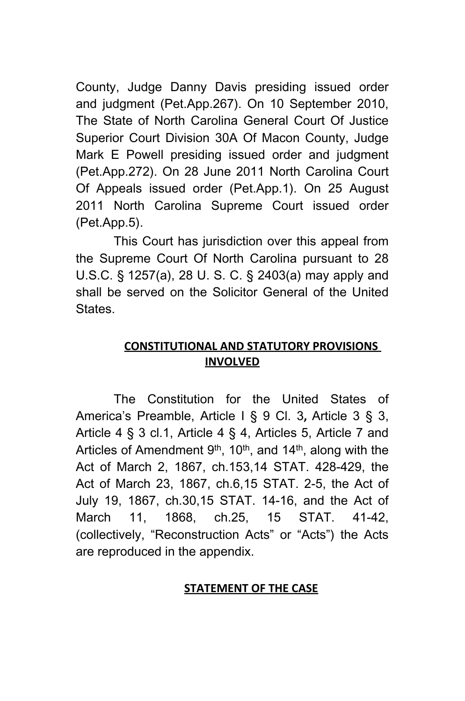County, Judge Danny Davis presiding issued order and judgment (Pet.App.267). On 10 September 2010, The State of North Carolina General Court Of Justice Superior Court Division 30A Of Macon County, Judge Mark E Powell presiding issued order and judgment (Pet.App.272). On 28 June 2011 North Carolina Court Of Appeals issued order (Pet.App.1). On 25 August 2011 North Carolina Supreme Court issued order (Pet.App.5).

This Court has jurisdiction over this appeal from the Supreme Court Of North Carolina pursuant to 28 U.S.C. § 1257(a), 28 U. S. C. § 2403(a) may apply and shall be served on the Solicitor General of the United States.

## **CONSTITUTIONAL AND STATUTORY PROVISIONS INVOLVED**

The Constitution for the United States of America's Preamble, Article I § 9 Cl. 3**,** Article 3 § 3, Article 4 § 3 cl.1, Article 4 § 4, Articles 5, Article 7 and Articles of Amendment  $9<sup>th</sup>$ , 10<sup>th</sup>, and 14<sup>th</sup>, along with the Act of March 2, 1867, ch.153,14 STAT. 428-429, the Act of March 23, 1867, ch.6,15 STAT. 2-5, the Act of July 19, 1867, ch.30,15 STAT. 14-16, and the Act of March 11, 1868, ch.25, 15 STAT. 41-42, (collectively, "Reconstruction Acts" or "Acts") the Acts are reproduced in the appendix.

#### **STATEMENT OF THE CASE**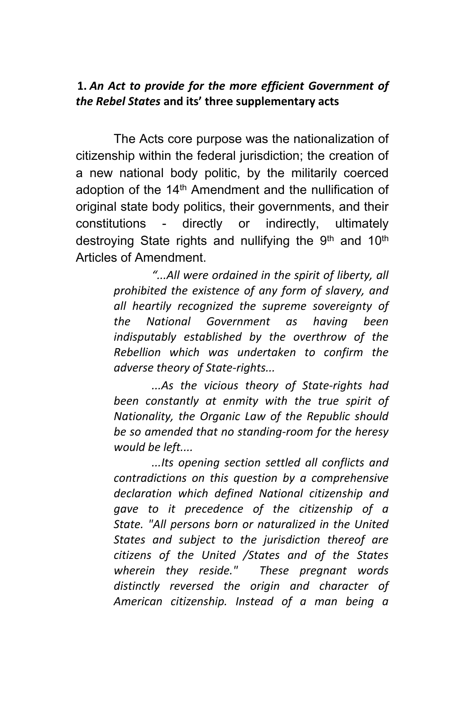#### **1.** *An Act to provide for the more efficient Government of the Rebel States* **and its' three supplementary acts**

The Acts core purpose was the nationalization of citizenship within the federal jurisdiction; the creation of a new national body politic, by the militarily coerced adoption of the 14<sup>th</sup> Amendment and the nullification of original state body politics, their governments, and their constitutions - directly or indirectly, ultimately destroying State rights and nullifying the 9<sup>th</sup> and 10<sup>th</sup> Articles of Amendment.

> *"...All were ordained in the spirit of liberty, all prohibited the existence of any form of slavery, and all heartily recognized the supreme sovereignty of the National Government as having been indisputably established by the overthrow of the Rebellion which was undertaken to confirm the adverse theory of State-rights...*

> *...As the vicious theory of State-rights had been constantly at enmity with the true spirit of Nationality, the Organic Law of the Republic should be so amended that no standing-room for the heresy would be left....*

> *...Its opening section settled all conflicts and contradictions on this question by a comprehensive declaration which defined National citizenship and gave to it precedence of the citizenship of a State. "All persons born or naturalized in the United States and subject to the jurisdiction thereof are citizens of the United /States and of the States wherein they reside." These pregnant words distinctly reversed the origin and character of American citizenship. Instead of a man being a*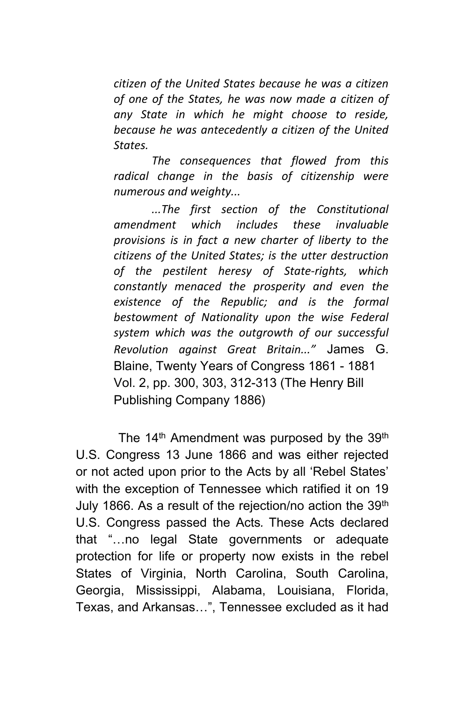*citizen of the United States because he was a citizen of one of the States, he was now made a citizen of any State in which he might choose to reside, because he was antecedently a citizen of the United States.*

*The consequences that flowed from this radical change in the basis of citizenship were numerous and weighty...*

*...The first section of the Constitutional amendment which includes these invaluable provisions is in fact a new charter of liberty to the citizens of the United States; is the utter destruction of the pestilent heresy of State-rights, which constantly menaced the prosperity and even the existence of the Republic; and is the formal bestowment of Nationality upon the wise Federal system which was the outgrowth of our successful Revolution against Great Britain..."* James G. Blaine, Twenty Years of Congress 1861 - 1881 Vol. 2, pp. 300, 303, 312-313 (The Henry Bill Publishing Company 1886)

The 14<sup>th</sup> Amendment was purposed by the 39<sup>th</sup> U.S. Congress 13 June 1866 and was either rejected or not acted upon prior to the Acts by all 'Rebel States' with the exception of Tennessee which ratified it on 19 July 1866. As a result of the rejection/no action the 39<sup>th</sup> U.S. Congress passed the Acts*.* These Acts declared that "…no legal State governments or adequate protection for life or property now exists in the rebel States of Virginia, North Carolina, South Carolina, Georgia, Mississippi, Alabama, Louisiana, Florida, Texas, and Arkansas…", Tennessee excluded as it had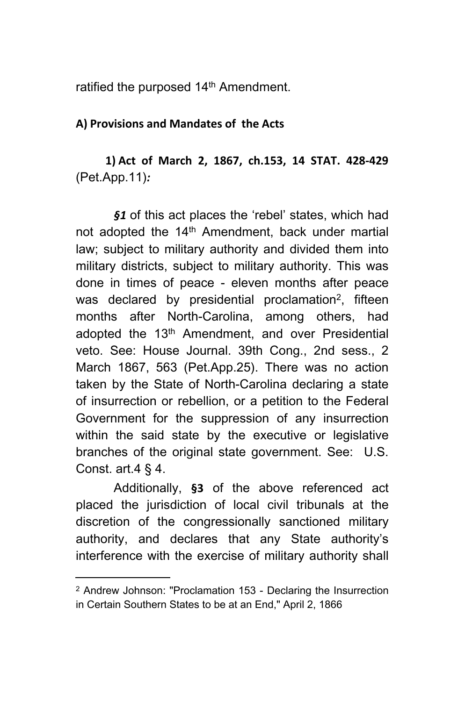ratified the purposed 14<sup>th</sup> Amendment.

#### **A) Provisions and Mandates of the Acts**

**1) Act of March 2, 1867, ch.153, 14 STAT. 428-429**  (Pet.App.11)*:* 

*§1* of this act places the 'rebel' states, which had not adopted the 14<sup>th</sup> Amendment, back under martial law; subject to military authority and divided them into military districts, subject to military authority. This was done in times of peace - eleven months after peace was declared by presidential proclamation<sup>2</sup>, fifteen months after North-Carolina, among others, had adopted the 13<sup>th</sup> Amendment, and over Presidential veto. See: House Journal. 39th Cong., 2nd sess., 2 March 1867, 563 (Pet.App.25). There was no action taken by the State of North-Carolina declaring a state of insurrection or rebellion, or a petition to the Federal Government for the suppression of any insurrection within the said state by the executive or legislative branches of the original state government. See: U.S. Const. art.  $4 \S 4$ .

Additionally, **§3** of the above referenced act placed the jurisdiction of local civil tribunals at the discretion of the congressionally sanctioned military authority, and declares that any State authority's interference with the exercise of military authority shall

<sup>2</sup> Andrew Johnson: "Proclamation 153 - Declaring the Insurrection in Certain Southern States to be at an End," April 2, 1866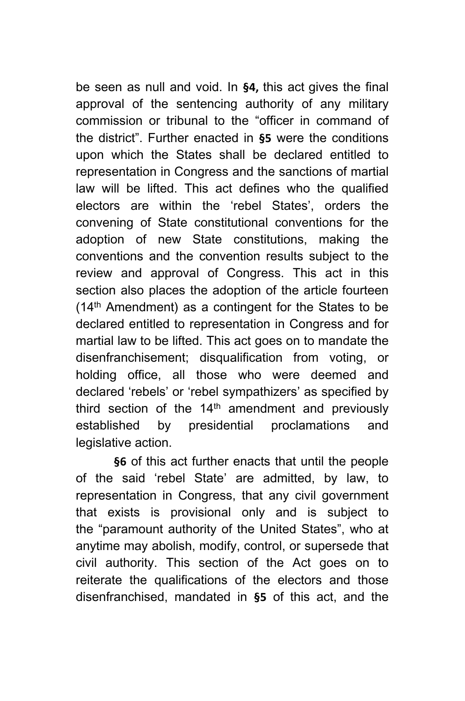be seen as null and void. In **§4,** this act gives the final approval of the sentencing authority of any military commission or tribunal to the "officer in command of the district". Further enacted in **§5** were the conditions upon which the States shall be declared entitled to representation in Congress and the sanctions of martial law will be lifted. This act defines who the qualified electors are within the 'rebel States', orders the convening of State constitutional conventions for the adoption of new State constitutions, making the conventions and the convention results subject to the review and approval of Congress. This act in this section also places the adoption of the article fourteen (14th Amendment) as a contingent for the States to be declared entitled to representation in Congress and for martial law to be lifted. This act goes on to mandate the disenfranchisement; disqualification from voting, or holding office, all those who were deemed and declared 'rebels' or 'rebel sympathizers' as specified by third section of the  $14<sup>th</sup>$  amendment and previously established by presidential proclamations and legislative action.

**§6** of this act further enacts that until the people of the said 'rebel State' are admitted, by law, to representation in Congress, that any civil government that exists is provisional only and is subject to the "paramount authority of the United States", who at anytime may abolish, modify, control, or supersede that civil authority. This section of the Act goes on to reiterate the qualifications of the electors and those disenfranchised, mandated in **§5** of this act, and the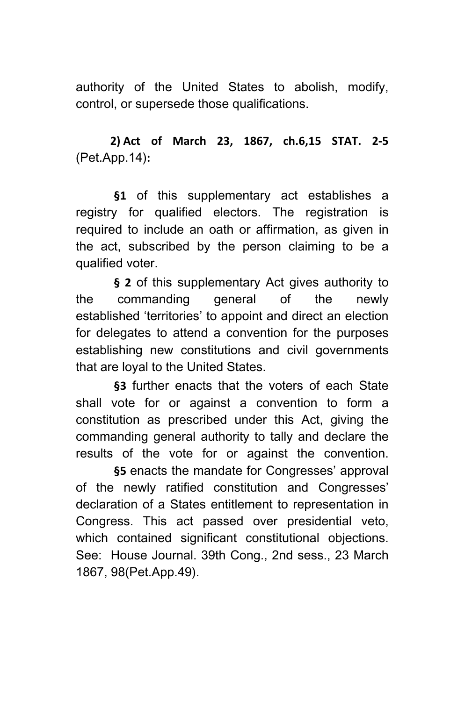authority of the United States to abolish, modify, control, or supersede those qualifications.

# **2) Act of March 23, 1867, ch.6,15 STAT. 2-5**  (Pet.App.14)**:**

**§1** of this supplementary act establishes a registry for qualified electors. The registration is required to include an oath or affirmation, as given in the act, subscribed by the person claiming to be a qualified voter.

**§ 2** of this supplementary Act gives authority to the commanding general of the newly established 'territories' to appoint and direct an election for delegates to attend a convention for the purposes establishing new constitutions and civil governments that are loyal to the United States.

**§3** further enacts that the voters of each State shall vote for or against a convention to form a constitution as prescribed under this Act, giving the commanding general authority to tally and declare the results of the vote for or against the convention.

**§5** enacts the mandate for Congresses' approval of the newly ratified constitution and Congresses' declaration of a States entitlement to representation in Congress. This act passed over presidential veto, which contained significant constitutional objections. See: House Journal. 39th Cong., 2nd sess., 23 March 1867, 98(Pet.App.49).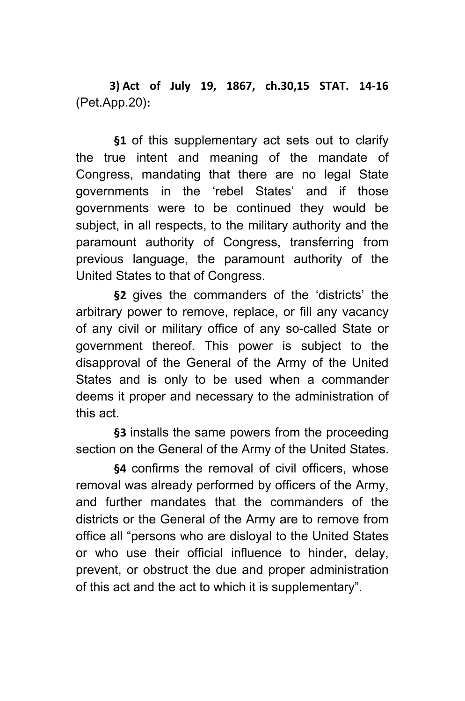**3) Act of July 19, 1867, ch.30,15 STAT. 14-16**  (Pet.App.20)**:**

**§1** of this supplementary act sets out to clarify the true intent and meaning of the mandate of Congress, mandating that there are no legal State governments in the 'rebel States' and if those governments were to be continued they would be subject, in all respects, to the military authority and the paramount authority of Congress, transferring from previous language, the paramount authority of the United States to that of Congress.

**§2** gives the commanders of the 'districts' the arbitrary power to remove, replace, or fill any vacancy of any civil or military office of any so-called State or government thereof. This power is subject to the disapproval of the General of the Army of the United States and is only to be used when a commander deems it proper and necessary to the administration of this act.

**§3** installs the same powers from the proceeding section on the General of the Army of the United States.

**§4** confirms the removal of civil officers, whose removal was already performed by officers of the Army, and further mandates that the commanders of the districts or the General of the Army are to remove from office all "persons who are disloyal to the United States or who use their official influence to hinder, delay, prevent, or obstruct the due and proper administration of this act and the act to which it is supplementary".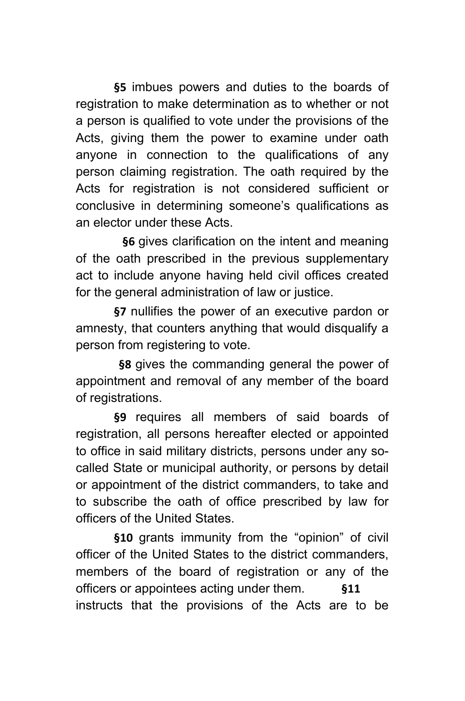**§5** imbues powers and duties to the boards of registration to make determination as to whether or not a person is qualified to vote under the provisions of the Acts, giving them the power to examine under oath anyone in connection to the qualifications of any person claiming registration. The oath required by the Acts for registration is not considered sufficient or conclusive in determining someone's qualifications as an elector under these Acts.

 **§6** gives clarification on the intent and meaning of the oath prescribed in the previous supplementary act to include anyone having held civil offices created for the general administration of law or justice.

**§7** nullifies the power of an executive pardon or amnesty, that counters anything that would disqualify a person from registering to vote.

**§8** gives the commanding general the power of appointment and removal of any member of the board of registrations.

**§9** requires all members of said boards of registration, all persons hereafter elected or appointed to office in said military districts, persons under any socalled State or municipal authority, or persons by detail or appointment of the district commanders, to take and to subscribe the oath of office prescribed by law for officers of the United States.

**§10** grants immunity from the "opinion" of civil officer of the United States to the district commanders, members of the board of registration or any of the officers or appointees acting under them. **§11**  instructs that the provisions of the Acts are to be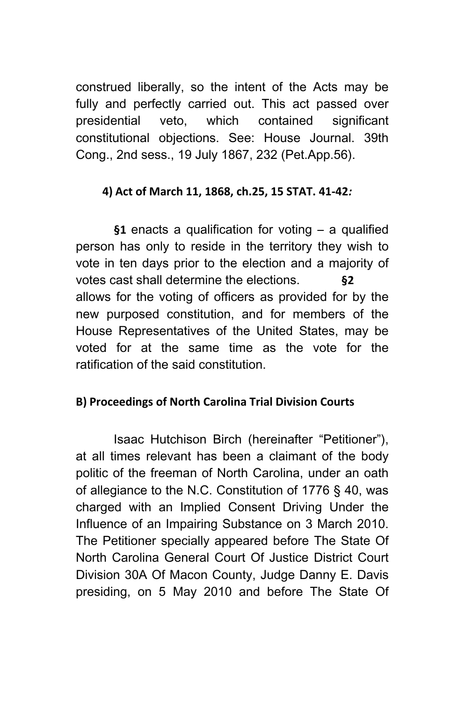construed liberally, so the intent of the Acts may be fully and perfectly carried out. This act passed over presidential veto, which contained significant constitutional objections. See: House Journal. 39th Cong., 2nd sess., 19 July 1867, 232 (Pet.App.56).

#### **4) Act of March 11, 1868, ch.25, 15 STAT. 41-42***:*

**§1** enacts a qualification for voting – a qualified person has only to reside in the territory they wish to vote in ten days prior to the election and a majority of votes cast shall determine the elections. **§2**  allows for the voting of officers as provided for by the new purposed constitution, and for members of the House Representatives of the United States, may be voted for at the same time as the vote for the ratification of the said constitution.

#### **B) Proceedings of North Carolina Trial Division Courts**

Isaac Hutchison Birch (hereinafter "Petitioner"), at all times relevant has been a claimant of the body politic of the freeman of North Carolina, under an oath of allegiance to the N.C. Constitution of 1776 § 40, was charged with an Implied Consent Driving Under the Influence of an Impairing Substance on 3 March 2010. The Petitioner specially appeared before The State Of North Carolina General Court Of Justice District Court Division 30A Of Macon County, Judge Danny E. Davis presiding, on 5 May 2010 and before The State Of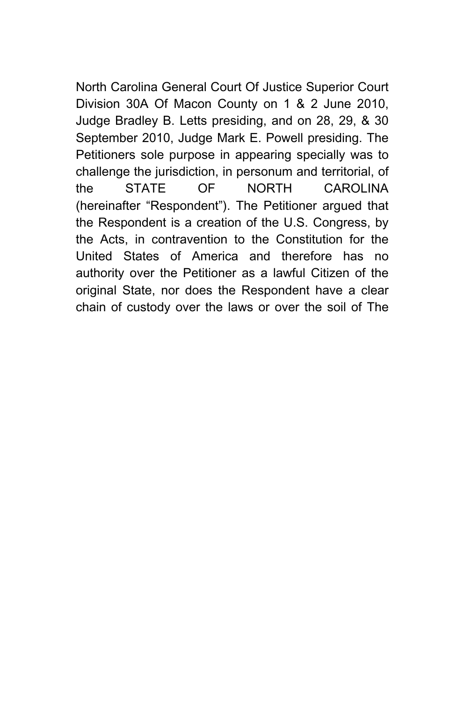North Carolina General Court Of Justice Superior Court Division 30A Of Macon County on 1 & 2 June 2010, Judge Bradley B. Letts presiding, and on 28, 29, & 30 September 2010, Judge Mark E. Powell presiding. The Petitioners sole purpose in appearing specially was to challenge the jurisdiction, in personum and territorial, of the STATE OF NORTH CAROLINA (hereinafter "Respondent"). The Petitioner argued that the Respondent is a creation of the U.S. Congress, by the Acts, in contravention to the Constitution for the United States of America and therefore has no authority over the Petitioner as a lawful Citizen of the original State, nor does the Respondent have a clear chain of custody over the laws or over the soil of The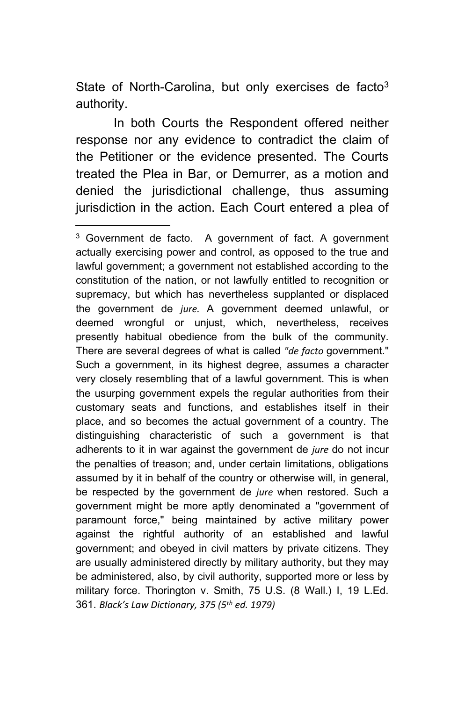State of North-Carolina, but only exercises de facto $3$ authority.

In both Courts the Respondent offered neither response nor any evidence to contradict the claim of the Petitioner or the evidence presented. The Courts treated the Plea in Bar, or Demurrer, as a motion and denied the jurisdictional challenge, thus assuming jurisdiction in the action. Each Court entered a plea of

<sup>3</sup> Government de facto. A government of fact. A government actually exercising power and control, as opposed to the true and lawful government; a government not established according to the constitution of the nation, or not lawfully entitled to recognition or supremacy, but which has nevertheless supplanted or displaced the government de *jure.* A government deemed unlawful, or deemed wrongful or unjust, which, nevertheless, receives presently habitual obedience from the bulk of the community. There are several degrees of what is called *"de facto* government." Such a government, in its highest degree, assumes a character very closely resembling that of a lawful government. This is when the usurping government expels the regular authorities from their customary seats and functions, and establishes itself in their place, and so becomes the actual government of a country. The distinguishing characteristic of such a government is that adherents to it in war against the government de *jure* do not incur the penalties of treason; and, under certain limitations, obligations assumed by it in behalf of the country or otherwise will, in general, be respected by the government de *jure* when restored. Such a government might be more aptly denominated a "government of paramount force," being maintained by active military power against the rightful authority of an established and lawful government; and obeyed in civil matters by private citizens. They are usually administered directly by military authority, but they may be administered, also, by civil authority, supported more or less by military force. Thorington v. Smith, 75 U.S. (8 Wall.) I, 19 L.Ed. 361. *Black's Law Dictionary, 375 (5th ed. 1979)*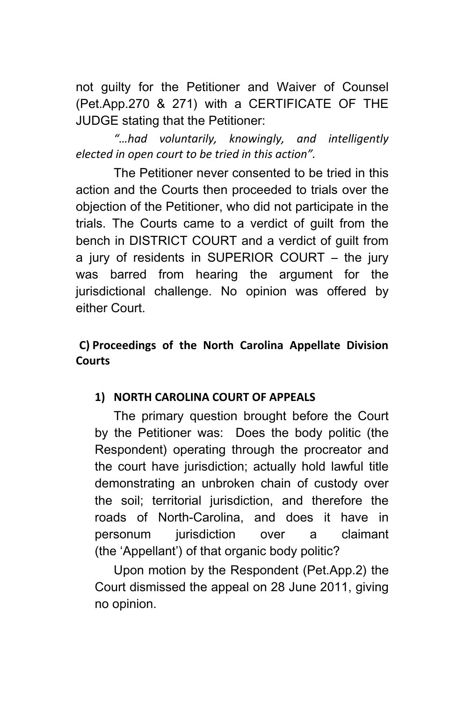not guilty for the Petitioner and Waiver of Counsel (Pet.App.270 & 271) with a CERTIFICATE OF THE JUDGE stating that the Petitioner:

*"…had voluntarily, knowingly, and intelligently elected in open court to be tried in this action".*

The Petitioner never consented to be tried in this action and the Courts then proceeded to trials over the objection of the Petitioner, who did not participate in the trials. The Courts came to a verdict of guilt from the bench in DISTRICT COURT and a verdict of guilt from a jury of residents in SUPERIOR COURT – the jury was barred from hearing the argument for the jurisdictional challenge. No opinion was offered by either Court.

## **C) Proceedings of the North Carolina Appellate Division Courts**

## **1) NORTH CAROLINA COURT OF APPEALS**

The primary question brought before the Court by the Petitioner was: Does the body politic (the Respondent) operating through the procreator and the court have jurisdiction; actually hold lawful title demonstrating an unbroken chain of custody over the soil; territorial jurisdiction, and therefore the roads of North-Carolina, and does it have in personum jurisdiction over a claimant (the 'Appellant') of that organic body politic?

Upon motion by the Respondent (Pet.App.2) the Court dismissed the appeal on 28 June 2011, giving no opinion.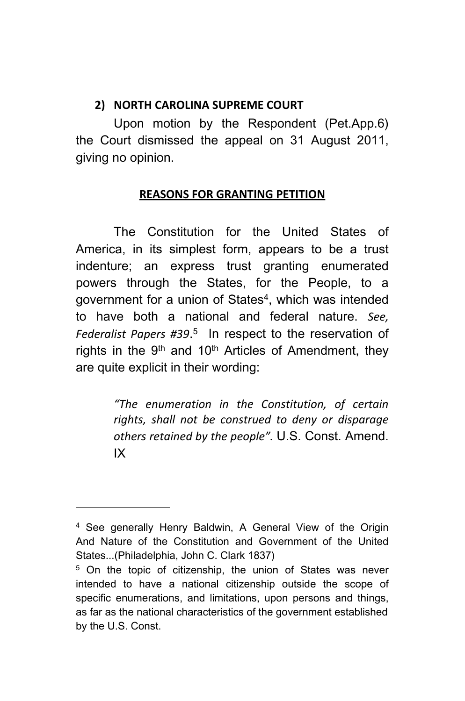#### **2) NORTH CAROLINA SUPREME COURT**

Upon motion by the Respondent (Pet.App.6) the Court dismissed the appeal on 31 August 2011, giving no opinion.

#### **REASONS FOR GRANTING PETITION**

The Constitution for the United States of America, in its simplest form, appears to be a trust indenture; an express trust granting enumerated powers through the States, for the People, to a government for a union of States<sup>4</sup>, which was intended to have both a national and federal nature. *See, Federalist Papers #39*. 5 In respect to the reservation of rights in the  $9<sup>th</sup>$  and 10<sup>th</sup> Articles of Amendment, they are quite explicit in their wording:

> *"The enumeration in the Constitution, of certain rights, shall not be construed to deny or disparage others retained by the people".* U.S. Const. Amend. IX

<sup>4</sup> See generally Henry Baldwin, A General View of the Origin And Nature of the Constitution and Government of the United States...(Philadelphia, John C. Clark 1837)

<sup>&</sup>lt;sup>5</sup> On the topic of citizenship, the union of States was never intended to have a national citizenship outside the scope of specific enumerations, and limitations, upon persons and things, as far as the national characteristics of the government established by the U.S. Const.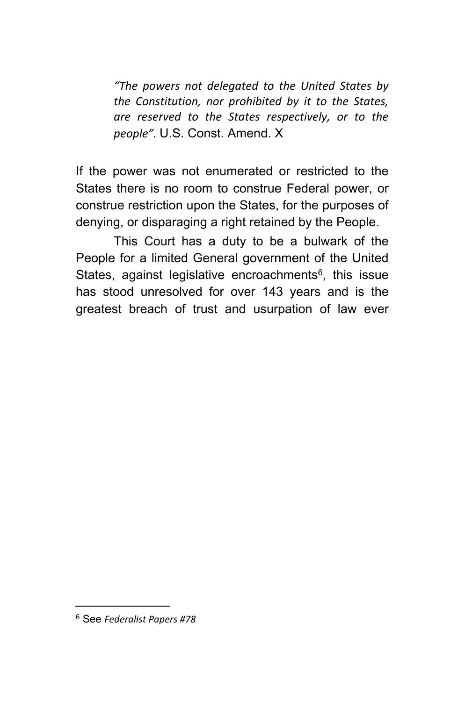*"The powers not delegated to the United States by the Constitution, nor prohibited by it to the States, are reserved to the States respectively, or to the people".* U.S. Const. Amend. X

If the power was not enumerated or restricted to the States there is no room to construe Federal power, or construe restriction upon the States, for the purposes of denying, or disparaging a right retained by the People.

This Court has a duty to be a bulwark of the People for a limited General government of the United States, against legislative encroachments<sup>6</sup>, this issue has stood unresolved for over 143 years and is the greatest breach of trust and usurpation of law ever

<sup>6</sup> See *Federalist Papers #78*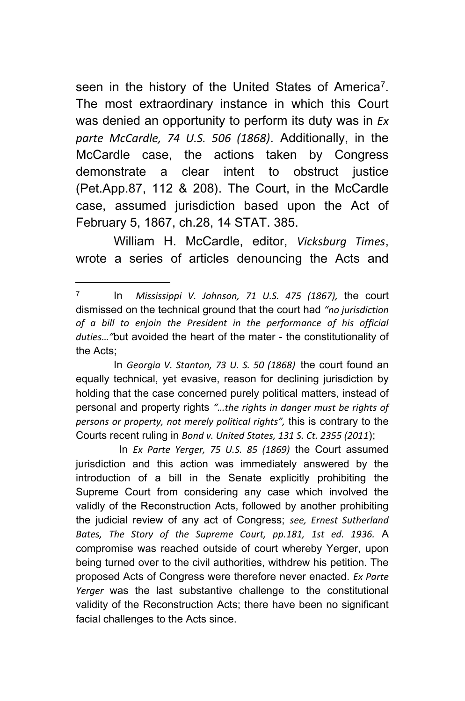seen in the history of the United States of America<sup>7</sup>. The most extraordinary instance in which this Court was denied an opportunity to perform its duty was in *Ex parte McCardle, 74 U.S. 506 (1868)*. Additionally, in the McCardle case, the actions taken by Congress demonstrate a clear intent to obstruct justice (Pet.App.87, 112 & 208). The Court, in the McCardle case, assumed jurisdiction based upon the Act of February 5, 1867, ch.28, 14 STAT. 385.

William H. McCardle, editor, *Vicksburg Times*, wrote a series of articles denouncing the Acts and

<sup>7</sup> In *Mississippi V. Johnson, 71 U.S. 475 (1867),* the court dismissed on the technical ground that the court had *"no jurisdiction of a bill to enjoin the President in the performance of his official duties…"*but avoided the heart of the mater - the constitutionality of the Acts;

In *Georgia V. Stanton, 73 U. S. 50 (1868)* the court found an equally technical, yet evasive, reason for declining jurisdiction by holding that the case concerned purely political matters, instead of personal and property rights *"…the rights in danger must be rights of persons or property, not merely political rights",* this is contrary to the Courts recent ruling in *Bond v. United States, 131 S. Ct. 2355 (2011*);

In *Ex Parte Yerger, 75 U.S. 85 (1869)* the Court assumed jurisdiction and this action was immediately answered by the introduction of a bill in the Senate explicitly prohibiting the Supreme Court from considering any case which involved the validly of the Reconstruction Acts, followed by another prohibiting the judicial review of any act of Congress; *see, Ernest Sutherland Bates, The Story of the Supreme Court, pp.181, 1st ed. 1936.* A compromise was reached outside of court whereby Yerger, upon being turned over to the civil authorities, withdrew his petition. The proposed Acts of Congress were therefore never enacted. *Ex Parte Yerger* was the last substantive challenge to the constitutional validity of the Reconstruction Acts; there have been no significant facial challenges to the Acts since.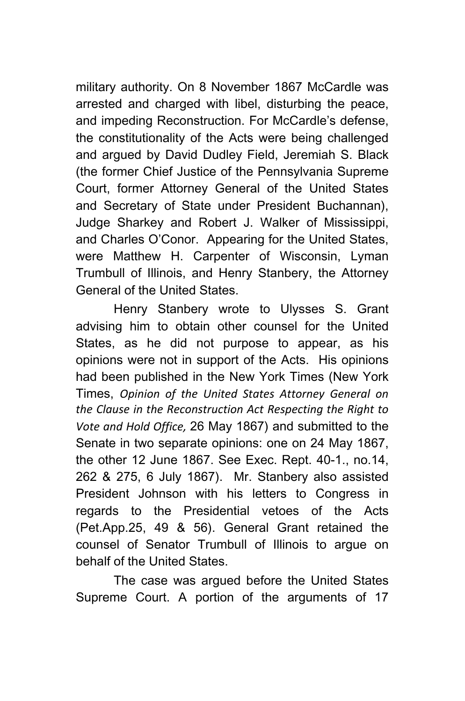military authority. On 8 November 1867 McCardle was arrested and charged with libel, disturbing the peace, and impeding Reconstruction. For McCardle's defense, the constitutionality of the Acts were being challenged and argued by David Dudley Field, Jeremiah S. Black (the former Chief Justice of the Pennsylvania Supreme Court, former Attorney General of the United States and Secretary of State under President Buchannan), Judge Sharkey and Robert J. Walker of Mississippi, and Charles O'Conor. Appearing for the United States, were Matthew H. Carpenter of Wisconsin, Lyman Trumbull of Illinois, and Henry Stanbery, the Attorney General of the United States.

Henry Stanbery wrote to Ulysses S. Grant advising him to obtain other counsel for the United States, as he did not purpose to appear, as his opinions were not in support of the Acts. His opinions had been published in the New York Times (New York Times, *Opinion of the United States Attorney General on the Clause in the Reconstruction Act Respecting the Right to Vote and Hold Office,* 26 May 1867) and submitted to the Senate in two separate opinions: one on 24 May 1867, the other 12 June 1867. See Exec. Rept. 40-1., no.14, 262 & 275, 6 July 1867). Mr. Stanbery also assisted President Johnson with his letters to Congress in regards to the Presidential vetoes of the Acts (Pet.App.25, 49 & 56). General Grant retained the counsel of Senator Trumbull of Illinois to argue on behalf of the United States.

The case was argued before the United States Supreme Court. A portion of the arguments of 17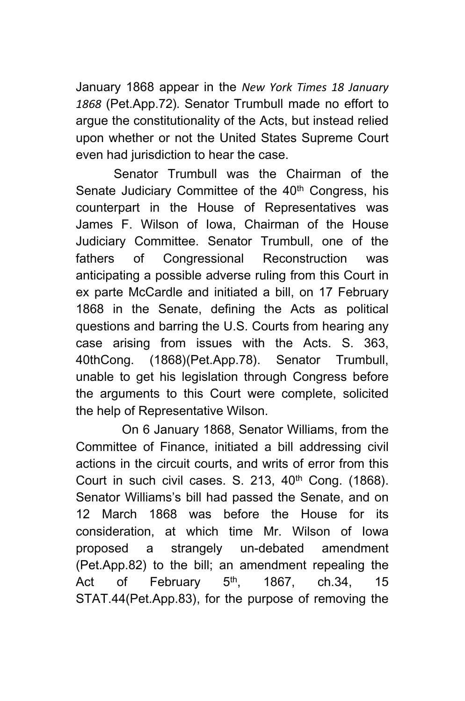January 1868 appear in the *New York Times 18 January 1868* (Pet.App.72)*.* Senator Trumbull made no effort to argue the constitutionality of the Acts, but instead relied upon whether or not the United States Supreme Court even had jurisdiction to hear the case.

Senator Trumbull was the Chairman of the Senate Judiciary Committee of the 40<sup>th</sup> Congress, his counterpart in the House of Representatives was James F. Wilson of Iowa, Chairman of the House Judiciary Committee. Senator Trumbull, one of the fathers of Congressional Reconstruction was anticipating a possible adverse ruling from this Court in ex parte McCardle and initiated a bill, on 17 February 1868 in the Senate, defining the Acts as political questions and barring the U.S. Courts from hearing any case arising from issues with the Acts. S. 363, 40thCong. (1868)(Pet.App.78). Senator Trumbull, unable to get his legislation through Congress before the arguments to this Court were complete, solicited the help of Representative Wilson.

 On 6 January 1868, Senator Williams, from the Committee of Finance, initiated a bill addressing civil actions in the circuit courts, and writs of error from this Court in such civil cases. S. 213,  $40<sup>th</sup>$  Cong. (1868). Senator Williams's bill had passed the Senate, and on 12 March 1868 was before the House for its consideration, at which time Mr. Wilson of Iowa proposed a strangely un-debated amendment (Pet.App.82) to the bill; an amendment repealing the Act of February  $5<sup>th</sup>$ , 1867, ch.34, 15 STAT.44(Pet.App.83), for the purpose of removing the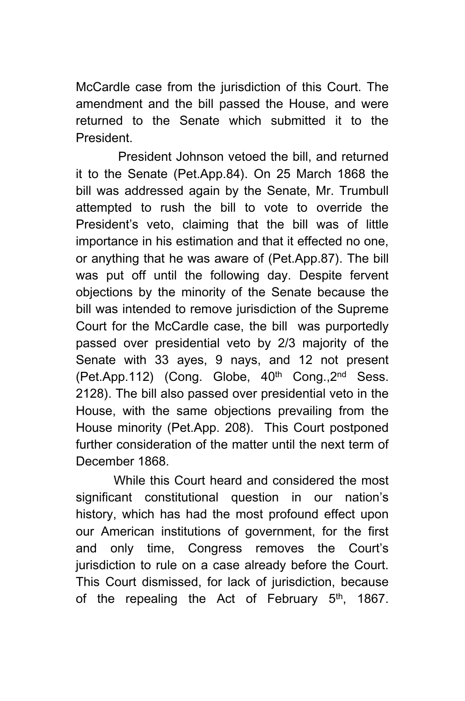McCardle case from the jurisdiction of this Court. The amendment and the bill passed the House, and were returned to the Senate which submitted it to the President.

 President Johnson vetoed the bill, and returned it to the Senate (Pet.App.84). On 25 March 1868 the bill was addressed again by the Senate, Mr. Trumbull attempted to rush the bill to vote to override the President's veto, claiming that the bill was of little importance in his estimation and that it effected no one, or anything that he was aware of (Pet.App.87). The bill was put off until the following day. Despite fervent objections by the minority of the Senate because the bill was intended to remove jurisdiction of the Supreme Court for the McCardle case, the bill was purportedly passed over presidential veto by 2/3 majority of the Senate with 33 ayes, 9 nays, and 12 not present (Pet.App.112) (Cong. Globe, 40<sup>th</sup> Cong., 2<sup>nd</sup> Sess. 2128). The bill also passed over presidential veto in the House, with the same objections prevailing from the House minority (Pet.App. 208). This Court postponed further consideration of the matter until the next term of December 1868.

While this Court heard and considered the most significant constitutional question in our nation's history, which has had the most profound effect upon our American institutions of government, for the first and only time, Congress removes the Court's jurisdiction to rule on a case already before the Court. This Court dismissed, for lack of jurisdiction, because of the repealing the Act of February  $5<sup>th</sup>$ , 1867.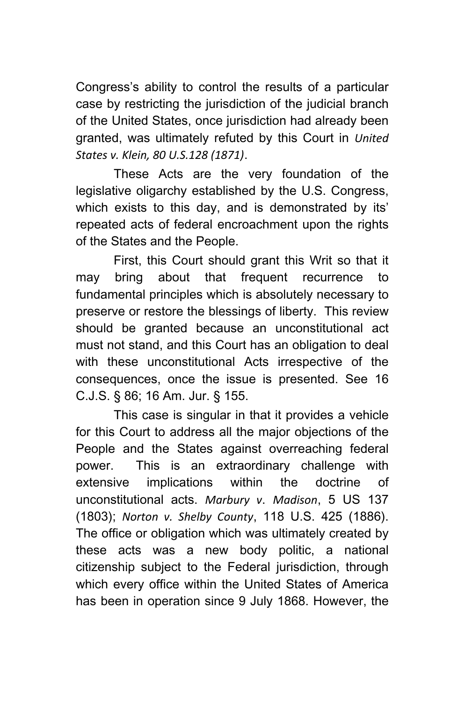Congress's ability to control the results of a particular case by restricting the jurisdiction of the judicial branch of the United States, once jurisdiction had already been granted, was ultimately refuted by this Court in *United States v. Klein, 80 U.S.128 (1871)*.

These Acts are the very foundation of the legislative oligarchy established by the U.S. Congress, which exists to this day, and is demonstrated by its' repeated acts of federal encroachment upon the rights of the States and the People.

First, this Court should grant this Writ so that it may bring about that frequent recurrence to fundamental principles which is absolutely necessary to preserve or restore the blessings of liberty. This review should be granted because an unconstitutional act must not stand, and this Court has an obligation to deal with these unconstitutional Acts irrespective of the consequences, once the issue is presented. See 16 C.J.S. § 86; 16 Am. Jur. § 155.

This case is singular in that it provides a vehicle for this Court to address all the major objections of the People and the States against overreaching federal power. This is an extraordinary challenge with extensive implications within the doctrine of unconstitutional acts. *Marbury v*. *Madison*, 5 US 137 (1803); *Norton v. Shelby County*, 118 U.S. 425 (1886). The office or obligation which was ultimately created by these acts was a new body politic, a national citizenship subject to the Federal jurisdiction, through which every office within the United States of America has been in operation since 9 July 1868. However, the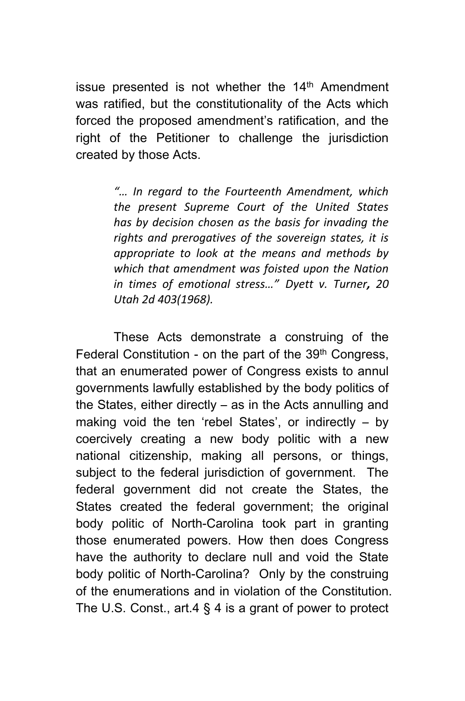issue presented is not whether the  $14<sup>th</sup>$  Amendment was ratified, but the constitutionality of the Acts which forced the proposed amendment's ratification, and the right of the Petitioner to challenge the jurisdiction created by those Acts.

> *"… In regard to the Fourteenth Amendment, which the present Supreme Court of the United States has by decision chosen as the basis for invading the rights and prerogatives of the sovereign states, it is appropriate to look at the means and methods by which that amendment was foisted upon the Nation in times of emotional stress…" Dyett v. Turner, 20 Utah 2d 403(1968).*

These Acts demonstrate a construing of the Federal Constitution - on the part of the 39<sup>th</sup> Congress, that an enumerated power of Congress exists to annul governments lawfully established by the body politics of the States, either directly – as in the Acts annulling and making void the ten 'rebel States', or indirectly – by coercively creating a new body politic with a new national citizenship, making all persons, or things, subject to the federal jurisdiction of government. The federal government did not create the States, the States created the federal government; the original body politic of North-Carolina took part in granting those enumerated powers. How then does Congress have the authority to declare null and void the State body politic of North-Carolina? Only by the construing of the enumerations and in violation of the Constitution. The U.S. Const., art.4 § 4 is a grant of power to protect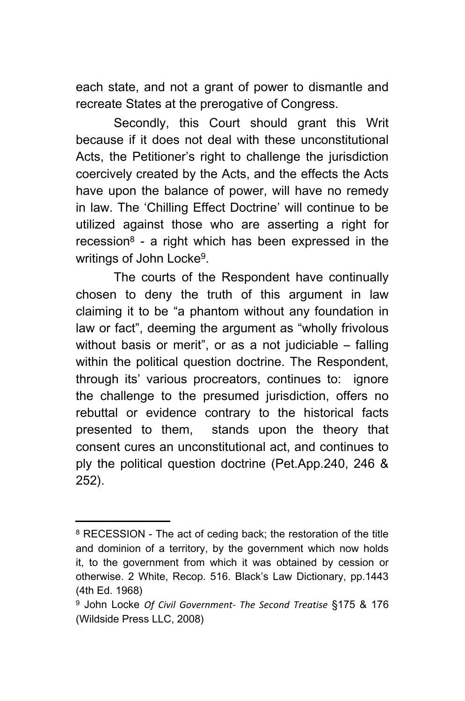each state, and not a grant of power to dismantle and recreate States at the prerogative of Congress.

Secondly, this Court should grant this Writ because if it does not deal with these unconstitutional Acts, the Petitioner's right to challenge the jurisdiction coercively created by the Acts, and the effects the Acts have upon the balance of power, will have no remedy in law. The 'Chilling Effect Doctrine' will continue to be utilized against those who are asserting a right for recession<sup>8</sup> - a right which has been expressed in the writings of John Locke<sup>9</sup>.

The courts of the Respondent have continually chosen to deny the truth of this argument in law claiming it to be "a phantom without any foundation in law or fact", deeming the argument as "wholly frivolous without basis or merit", or as a not judiciable – falling within the political question doctrine. The Respondent, through its' various procreators, continues to: ignore the challenge to the presumed jurisdiction, offers no rebuttal or evidence contrary to the historical facts presented to them, stands upon the theory that consent cures an unconstitutional act, and continues to ply the political question doctrine (Pet.App.240, 246 & 252).

<sup>&</sup>lt;sup>8</sup> RECESSION - The act of ceding back; the restoration of the title and dominion of a territory, by the government which now holds it, to the government from which it was obtained by cession or otherwise. 2 White, Recop. 516. Black's Law Dictionary, pp.1443 (4th Ed. 1968)

<sup>9</sup> John Locke *Of Civil Government- The Second Treatise* §175 & 176 (Wildside Press LLC, 2008)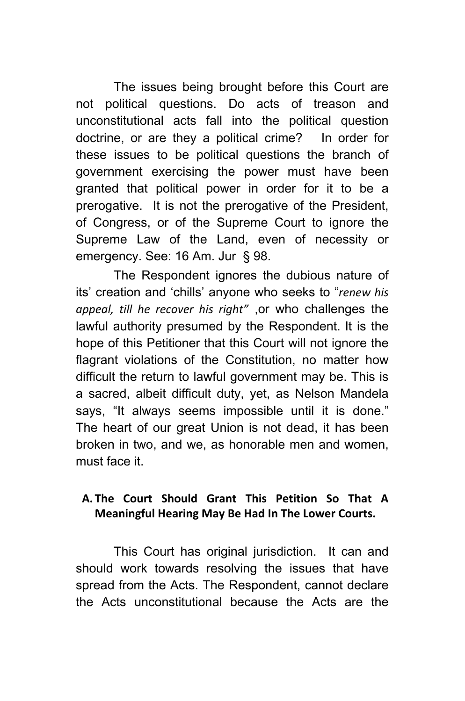The issues being brought before this Court are not political questions. Do acts of treason and unconstitutional acts fall into the political question doctrine, or are they a political crime? In order for these issues to be political questions the branch of government exercising the power must have been granted that political power in order for it to be a prerogative. It is not the prerogative of the President, of Congress, or of the Supreme Court to ignore the Supreme Law of the Land, even of necessity or emergency. See: 16 Am. Jur § 98.

The Respondent ignores the dubious nature of its' creation and 'chills' anyone who seeks to "*renew his appeal, till he recover his right"* ,or who challenges the lawful authority presumed by the Respondent. It is the hope of this Petitioner that this Court will not ignore the flagrant violations of the Constitution, no matter how difficult the return to lawful government may be. This is a sacred, albeit difficult duty, yet, as Nelson Mandela says, "It always seems impossible until it is done." The heart of our great Union is not dead, it has been broken in two, and we, as honorable men and women, must face it.

## **A. The Court Should Grant This Petition So That A Meaningful Hearing May Be Had In The Lower Courts.**

This Court has original jurisdiction. It can and should work towards resolving the issues that have spread from the Acts. The Respondent, cannot declare the Acts unconstitutional because the Acts are the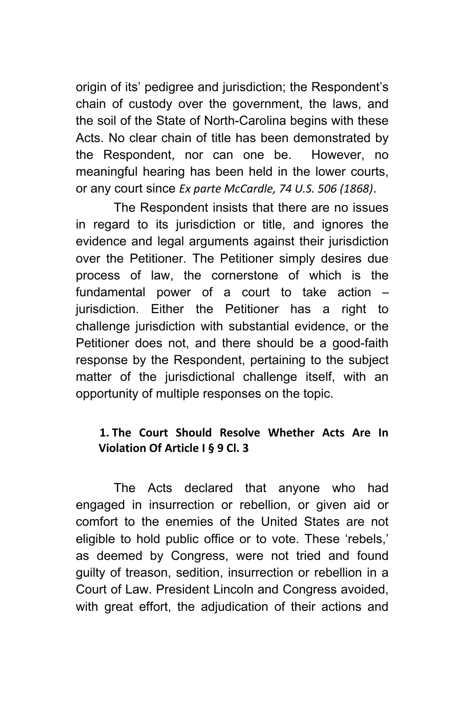origin of its' pedigree and jurisdiction; the Respondent's chain of custody over the government, the laws, and the soil of the State of North-Carolina begins with these Acts. No clear chain of title has been demonstrated by the Respondent, nor can one be. However, no meaningful hearing has been held in the lower courts, or any court since *Ex parte McCardle, 74 U.S. 506 (1868)*.

The Respondent insists that there are no issues in regard to its jurisdiction or title, and ignores the evidence and legal arguments against their jurisdiction over the Petitioner. The Petitioner simply desires due process of law, the cornerstone of which is the fundamental power of a court to take action – jurisdiction. Either the Petitioner has a right to challenge jurisdiction with substantial evidence, or the Petitioner does not, and there should be a good-faith response by the Respondent, pertaining to the subject matter of the jurisdictional challenge itself, with an opportunity of multiple responses on the topic.

## **1. The Court Should Resolve Whether Acts Are In Violation Of Article I § 9 Cl. 3**

The Acts declared that anyone who had engaged in insurrection or rebellion, or given aid or comfort to the enemies of the United States are not eligible to hold public office or to vote. These 'rebels,' as deemed by Congress, were not tried and found guilty of treason, sedition, insurrection or rebellion in a Court of Law. President Lincoln and Congress avoided, with great effort, the adjudication of their actions and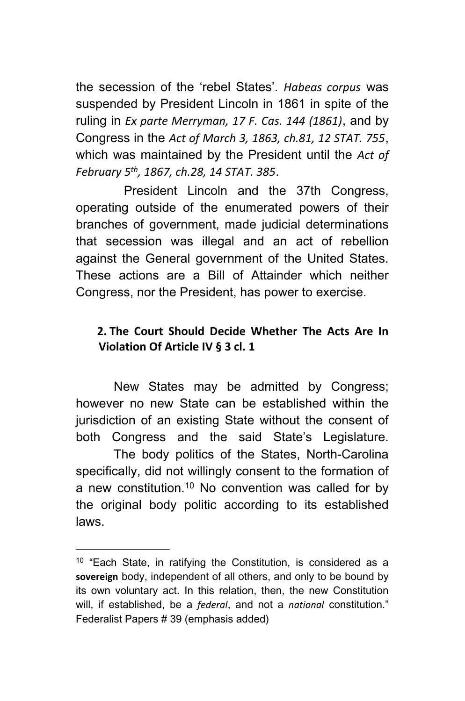the secession of the 'rebel States'. *Habeas corpus* was suspended by President Lincoln in 1861 in spite of the ruling in *Ex parte Merryman, 17 F. Cas. 144 (1861)*, and by Congress in the *Act of March 3, 1863, ch.81, 12 STAT. 755*, which was maintained by the President until the *Act of February 5th, 1867, ch.28, 14 STAT. 385*.

 President Lincoln and the 37th Congress, operating outside of the enumerated powers of their branches of government, made judicial determinations that secession was illegal and an act of rebellion against the General government of the United States. These actions are a Bill of Attainder which neither Congress, nor the President, has power to exercise.

#### **2. The Court Should Decide Whether The Acts Are In Violation Of Article IV § 3 cl. 1**

New States may be admitted by Congress; however no new State can be established within the jurisdiction of an existing State without the consent of both Congress and the said State's Legislature. The body politics of the States, North-Carolina specifically, did not willingly consent to the formation of a new constitution.<sup>10</sup> No convention was called for by the original body politic according to its established laws.

<sup>10</sup> "Each State, in ratifying the Constitution, is considered as a **sovereign** body, independent of all others, and only to be bound by its own voluntary act. In this relation, then, the new Constitution will, if established, be a *federal*, and not a *national* constitution." Federalist Papers # 39 (emphasis added)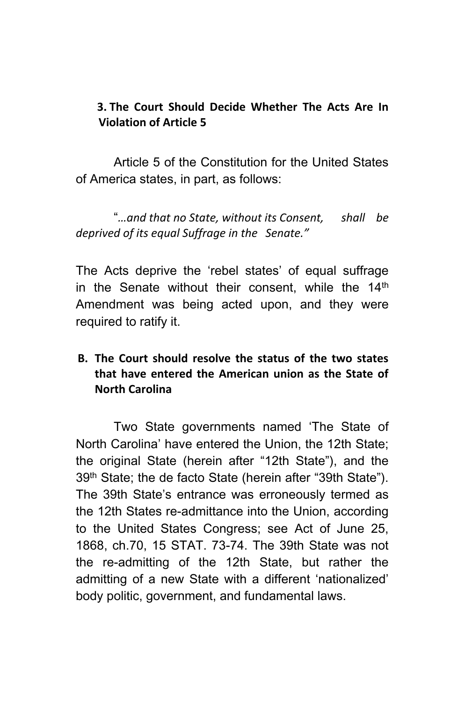#### **3. The Court Should Decide Whether The Acts Are In Violation of Article 5**

Article 5 of the Constitution for the United States of America states, in part, as follows:

"*…and that no State, without its Consent, shall be deprived of its equal Suffrage in the Senate."*

The Acts deprive the 'rebel states' of equal suffrage in the Senate without their consent, while the  $14<sup>th</sup>$ Amendment was being acted upon, and they were required to ratify it.

#### **B. The Court should resolve the status of the two states that have entered the American union as the State of North Carolina**

Two State governments named 'The State of North Carolina' have entered the Union, the 12th State; the original State (herein after "12th State"), and the 39th State; the de facto State (herein after "39th State"). The 39th State's entrance was erroneously termed as the 12th States re-admittance into the Union, according to the United States Congress; see Act of June 25, 1868, ch.70, 15 STAT. 73-74. The 39th State was not the re-admitting of the 12th State, but rather the admitting of a new State with a different 'nationalized' body politic, government, and fundamental laws.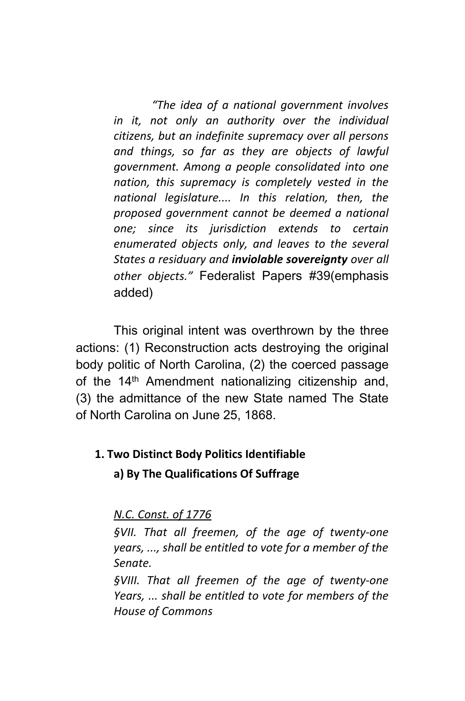*"The idea of a national government involves in it, not only an authority over the individual citizens, but an indefinite supremacy over all persons and things, so far as they are objects of lawful government. Among a people consolidated into one nation, this supremacy is completely vested in the national legislature.... In this relation, then, the proposed government cannot be deemed a national one; since its jurisdiction extends to certain enumerated objects only, and leaves to the several States a residuary and inviolable sovereignty over all other objects."* Federalist Papers #39(emphasis added)

This original intent was overthrown by the three actions: (1) Reconstruction acts destroying the original body politic of North Carolina, (2) the coerced passage of the 14<sup>th</sup> Amendment nationalizing citizenship and, (3) the admittance of the new State named The State of North Carolina on June 25, 1868.

# **1. Two Distinct Body Politics Identifiable a) By The Qualifications Of Suffrage**

*N.C. Const. of 1776*

*§VII. That all freemen, of the age of twenty-one years, ..., shall be entitled to vote for a member of the Senate.*

*§VIII. That all freemen of the age of twenty-one Years, ... shall be entitled to vote for members of the House of Commons*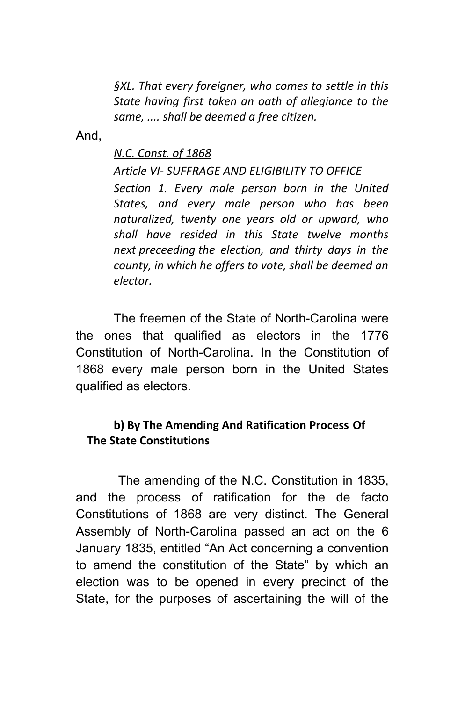*§XL. That every foreigner, who comes to settle in this State having first taken an oath of allegiance to the same, .... shall be deemed a free citizen.*

And,

#### *N.C. Const. of 1868*

*Article VI- SUFFRAGE AND ELIGIBILITY TO OFFICE Section 1. Every male person born in the United States, and every male person who has been naturalized, twenty one years old or upward, who shall have resided in this State twelve months next preceeding the election, and thirty days in the county, in which he offers to vote, shall be deemed an elector.*

The freemen of the State of North-Carolina were the ones that qualified as electors in the 1776 Constitution of North-Carolina. In the Constitution of 1868 every male person born in the United States qualified as electors.

#### **b) By The Amending And Ratification Process Of The State Constitutions**

 The amending of the N.C. Constitution in 1835, and the process of ratification for the de facto Constitutions of 1868 are very distinct. The General Assembly of North-Carolina passed an act on the 6 January 1835, entitled "An Act concerning a convention to amend the constitution of the State" by which an election was to be opened in every precinct of the State, for the purposes of ascertaining the will of the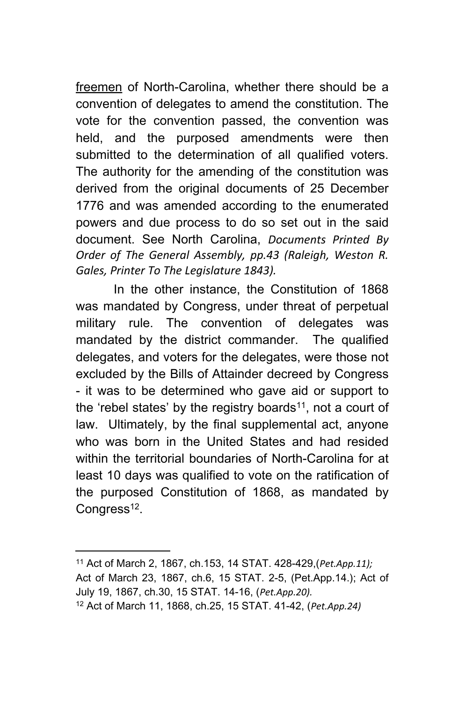freemen of North-Carolina, whether there should be a convention of delegates to amend the constitution. The vote for the convention passed, the convention was held, and the purposed amendments were then submitted to the determination of all qualified voters. The authority for the amending of the constitution was derived from the original documents of 25 December 1776 and was amended according to the enumerated powers and due process to do so set out in the said document. See North Carolina, *Documents Printed By Order of The General Assembly, pp.43 (Raleigh, Weston R. Gales, Printer To The Legislature 1843).*

In the other instance, the Constitution of 1868 was mandated by Congress, under threat of perpetual military rule. The convention of delegates was mandated by the district commander. The qualified delegates, and voters for the delegates, were those not excluded by the Bills of Attainder decreed by Congress - it was to be determined who gave aid or support to the 'rebel states' by the registry boards<sup>11</sup>, not a court of law. Ultimately, by the final supplemental act, anyone who was born in the United States and had resided within the territorial boundaries of North-Carolina for at least 10 days was qualified to vote on the ratification of the purposed Constitution of 1868, as mandated by Congress<sup>12</sup>.

<sup>11</sup> Act of March 2, 1867, ch.153, 14 STAT. 428-429,(*Pet.App.11);* Act of March 23, 1867, ch.6, 15 STAT. 2-5, (Pet.App.14.); Act of July 19, 1867, ch.30, 15 STAT. 14-16, (*Pet.App.20).* 12 Act of March 11, 1868, ch.25, 15 STAT. 41-42, (*Pet.App.24)*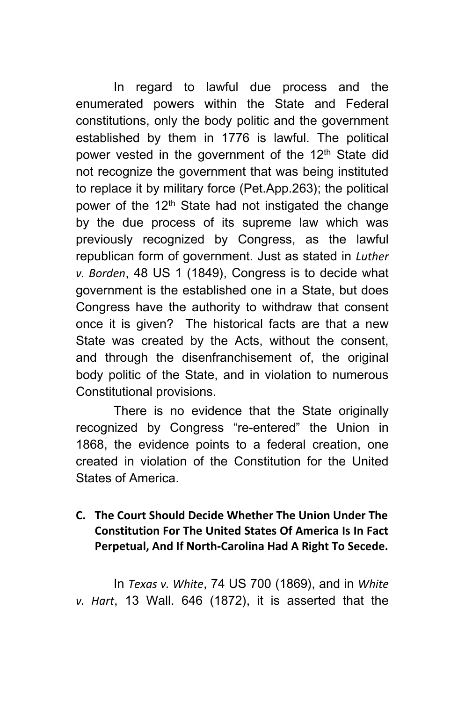In regard to lawful due process and the enumerated powers within the State and Federal constitutions, only the body politic and the government established by them in 1776 is lawful. The political power vested in the government of the 12<sup>th</sup> State did not recognize the government that was being instituted to replace it by military force (Pet.App.263); the political power of the  $12<sup>th</sup>$  State had not instigated the change by the due process of its supreme law which was previously recognized by Congress, as the lawful republican form of government. Just as stated in *Luther v. Borden*, 48 US 1 (1849), Congress is to decide what government is the established one in a State, but does Congress have the authority to withdraw that consent once it is given? The historical facts are that a new State was created by the Acts, without the consent, and through the disenfranchisement of, the original body politic of the State, and in violation to numerous Constitutional provisions.

There is no evidence that the State originally recognized by Congress "re-entered" the Union in 1868, the evidence points to a federal creation, one created in violation of the Constitution for the United States of America.

#### **C. The Court Should Decide Whether The Union Under The Constitution For The United States Of America Is In Fact Perpetual, And If North-Carolina Had A Right To Secede.**

In *Texas v. White*, 74 US 700 (1869), and in *White v. Hart*, 13 Wall. 646 (1872), it is asserted that the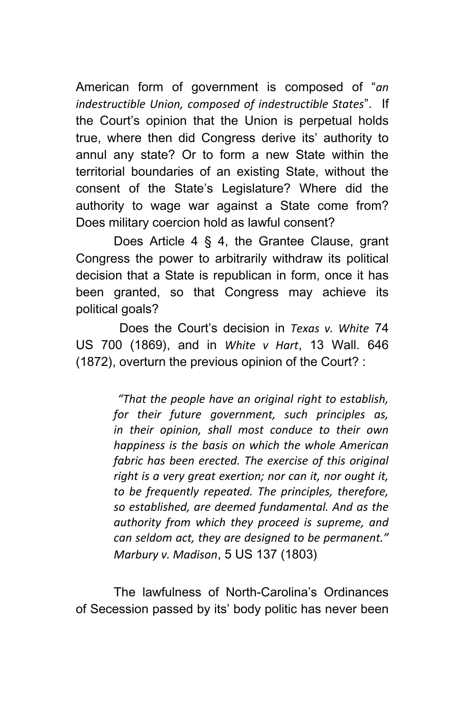American form of government is composed of "*an indestructible Union, composed of indestructible States*". If the Court's opinion that the Union is perpetual holds true, where then did Congress derive its' authority to annul any state? Or to form a new State within the territorial boundaries of an existing State, without the consent of the State's Legislature? Where did the authority to wage war against a State come from? Does military coercion hold as lawful consent?

Does Article 4 § 4, the Grantee Clause, grant Congress the power to arbitrarily withdraw its political decision that a State is republican in form, once it has been granted, so that Congress may achieve its political goals?

 Does the Court's decision in *Texas v. White* 74 US 700 (1869), and in *White v Hart*, 13 Wall. 646 (1872), overturn the previous opinion of the Court? :

> *"That the people have an original right to establish, for their future government, such principles as, in their opinion, shall most conduce to their own happiness is the basis on which the whole American fabric has been erected. The exercise of this original right is a very great exertion; nor can it, nor ought it, to be frequently repeated. The principles, therefore, so established, are deemed fundamental. And as the authority from which they proceed is supreme, and can seldom act, they are designed to be permanent." Marbury v. Madison*, 5 US 137 (1803)

The lawfulness of North-Carolina's Ordinances of Secession passed by its' body politic has never been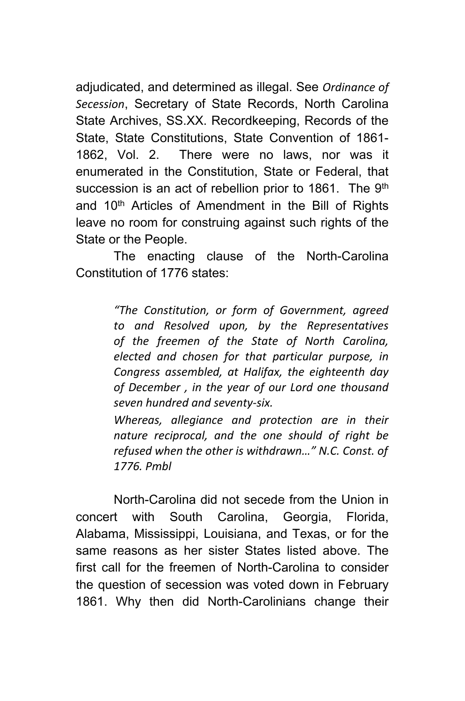adjudicated, and determined as illegal. See *Ordinance of Secession*, Secretary of State Records, North Carolina State Archives, SS.XX. Recordkeeping, Records of the State, State Constitutions, State Convention of 1861- 1862, Vol. 2. There were no laws, nor was it enumerated in the Constitution, State or Federal, that succession is an act of rebellion prior to 1861. The 9<sup>th</sup> and 10<sup>th</sup> Articles of Amendment in the Bill of Rights leave no room for construing against such rights of the State or the People.

The enacting clause of the North-Carolina Constitution of 1776 states:

> *"The Constitution, or form of Government, agreed to and Resolved upon, by the Representatives of the freemen of the State of North Carolina, elected and chosen for that particular purpose, in Congress assembled, at Halifax, the eighteenth day of December , in the year of our Lord one thousand seven hundred and seventy-six.*

> *Whereas, allegiance and protection are in their nature reciprocal, and the one should of right be refused when the other is withdrawn…" N.C. Const. of 1776. Pmbl*

North-Carolina did not secede from the Union in concert with South Carolina, Georgia, Florida, Alabama, Mississippi, Louisiana, and Texas, or for the same reasons as her sister States listed above. The first call for the freemen of North-Carolina to consider the question of secession was voted down in February 1861. Why then did North-Carolinians change their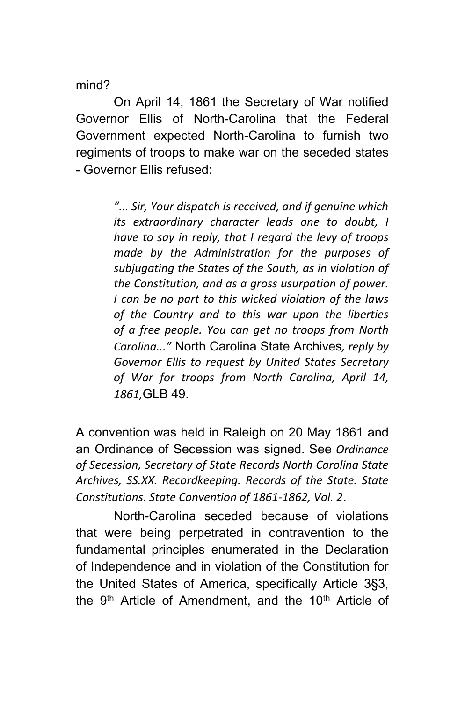mind?

On April 14, 1861 the Secretary of War notified Governor Ellis of North-Carolina that the Federal Government expected North-Carolina to furnish two regiments of troops to make war on the seceded states - Governor Ellis refused:

> *"... Sir, Your dispatch is received, and if genuine which its extraordinary character leads one to doubt, I have to say in reply, that I regard the levy of troops made by the Administration for the purposes of subjugating the States of the South, as in violation of the Constitution, and as a gross usurpation of power. I can be no part to this wicked violation of the laws of the Country and to this war upon the liberties of a free people. You can get no troops from North Carolina..."* North Carolina State Archives*, reply by Governor Ellis to request by United States Secretary of War for troops from North Carolina, April 14, 1861,*GLB 49.

A convention was held in Raleigh on 20 May 1861 and an Ordinance of Secession was signed. See *Ordinance of Secession, Secretary of State Records North Carolina State Archives, SS.XX. Recordkeeping. Records of the State. State Constitutions. State Convention of 1861-1862, Vol. 2*.

North-Carolina seceded because of violations that were being perpetrated in contravention to the fundamental principles enumerated in the Declaration of Independence and in violation of the Constitution for the United States of America, specifically Article 3§3, the 9<sup>th</sup> Article of Amendment, and the 10<sup>th</sup> Article of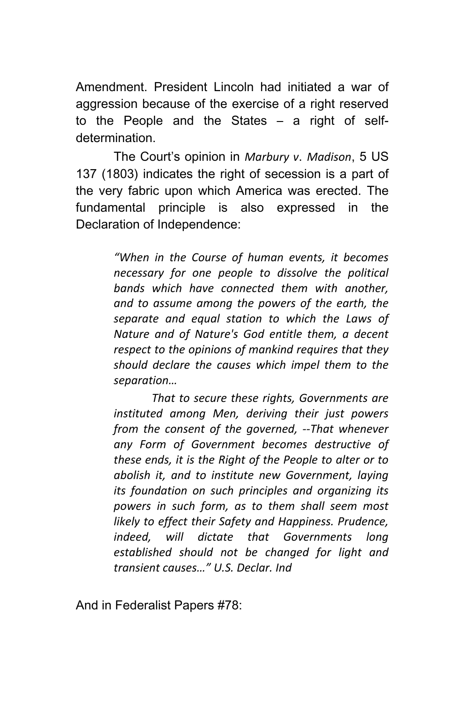Amendment. President Lincoln had initiated a war of aggression because of the exercise of a right reserved to the People and the States – a right of selfdetermination.

The Court's opinion in *Marbury v*. *Madison*, 5 US 137 (1803) indicates the right of secession is a part of the very fabric upon which America was erected. The fundamental principle is also expressed in the Declaration of Independence:

> *"When in the Course of human events, it becomes necessary for one people to dissolve the political bands which have connected them with another, and to assume among the powers of the earth, the separate and equal station to which the Laws of Nature and of Nature's God entitle them, a decent respect to the opinions of mankind requires that they should declare the causes which impel them to the separation…*

> *That to secure these rights, Governments are instituted among Men, deriving their just powers from the consent of the governed, --That whenever any Form of Government becomes destructive of these ends, it is the Right of the People to alter or to abolish it, and to institute new Government, laying its foundation on such principles and organizing its powers in such form, as to them shall seem most likely to effect their Safety and Happiness. Prudence, indeed, will dictate that Governments long established should not be changed for light and transient causes…" U.S. Declar. Ind*

And in Federalist Papers #78: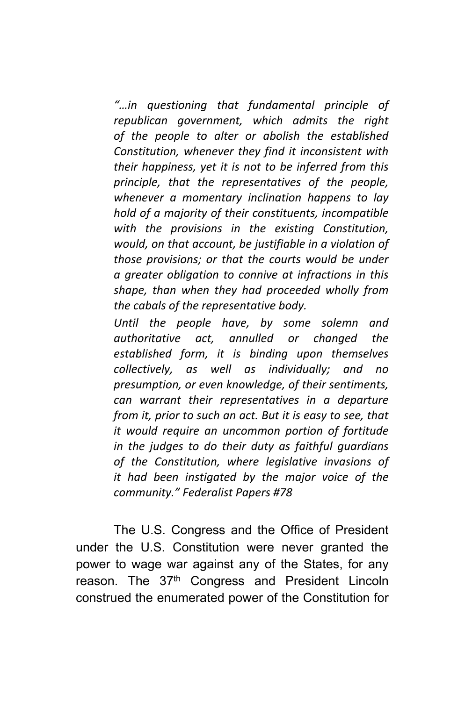*"…in questioning that fundamental principle of republican government, which admits the right of the people to alter or abolish the established Constitution, whenever they find it inconsistent with their happiness, yet it is not to be inferred from this principle, that the representatives of the people, whenever a momentary inclination happens to lay hold of a majority of their constituents, incompatible with the provisions in the existing Constitution, would, on that account, be justifiable in a violation of those provisions; or that the courts would be under a greater obligation to connive at infractions in this shape, than when they had proceeded wholly from the cabals of the representative body.*

*Until the people have, by some solemn and authoritative act, annulled or changed the established form, it is binding upon themselves collectively, as well as individually; and no presumption, or even knowledge, of their sentiments, can warrant their representatives in a departure from it, prior to such an act. But it is easy to see, that it would require an uncommon portion of fortitude in the judges to do their duty as faithful guardians of the Constitution, where legislative invasions of it had been instigated by the major voice of the community." Federalist Papers #78*

The U.S. Congress and the Office of President under the U.S. Constitution were never granted the power to wage war against any of the States, for any reason. The 37<sup>th</sup> Congress and President Lincoln construed the enumerated power of the Constitution for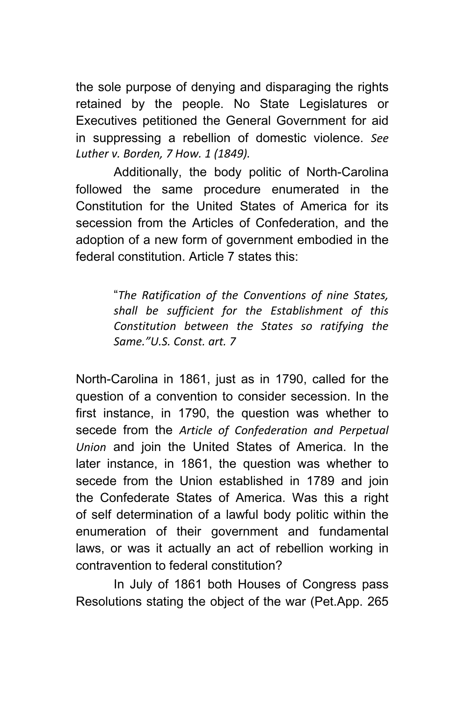the sole purpose of denying and disparaging the rights retained by the people. No State Legislatures or Executives petitioned the General Government for aid in suppressing a rebellion of domestic violence. *See Luther v. Borden, 7 How. 1 (1849).*

Additionally, the body politic of North-Carolina followed the same procedure enumerated in the Constitution for the United States of America for its secession from the Articles of Confederation, and the adoption of a new form of government embodied in the federal constitution. Article 7 states this:

> "*The Ratification of the Conventions of nine States, shall be sufficient for the Establishment of this Constitution between the States so ratifying the Same."U.S. Const. art. 7*

North-Carolina in 1861, just as in 1790, called for the question of a convention to consider secession. In the first instance, in 1790, the question was whether to secede from the *Article of Confederation and Perpetual Union* and join the United States of America. In the later instance, in 1861, the question was whether to secede from the Union established in 1789 and join the Confederate States of America. Was this a right of self determination of a lawful body politic within the enumeration of their government and fundamental laws, or was it actually an act of rebellion working in contravention to federal constitution?

In July of 1861 both Houses of Congress pass Resolutions stating the object of the war (Pet.App. 265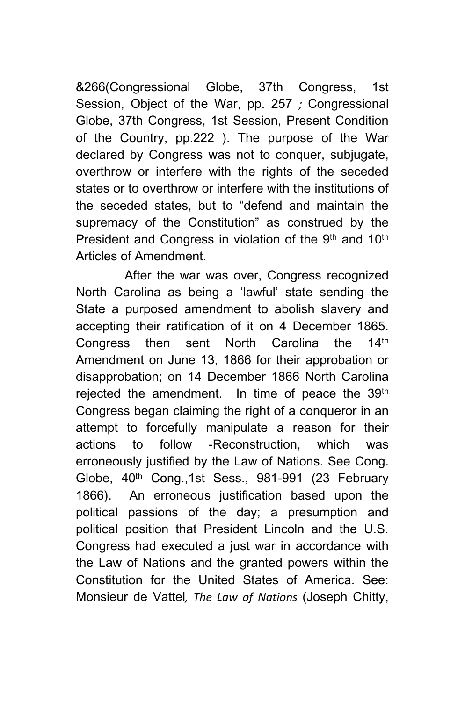&266(Congressional Globe, 37th Congress, 1st Session, Object of the War, pp. 257 *;* Congressional Globe, 37th Congress, 1st Session, Present Condition of the Country, pp.222 ). The purpose of the War declared by Congress was not to conquer, subjugate, overthrow or interfere with the rights of the seceded states or to overthrow or interfere with the institutions of the seceded states, but to "defend and maintain the supremacy of the Constitution" as construed by the President and Congress in violation of the 9<sup>th</sup> and 10<sup>th</sup> Articles of Amendment.

 After the war was over, Congress recognized North Carolina as being a 'lawful' state sending the State a purposed amendment to abolish slavery and accepting their ratification of it on 4 December 1865. Congress then sent North Carolina the 14<sup>th</sup> Amendment on June 13, 1866 for their approbation or disapprobation; on 14 December 1866 North Carolina rejected the amendment. In time of peace the 39<sup>th</sup> Congress began claiming the right of a conqueror in an attempt to forcefully manipulate a reason for their actions to follow -Reconstruction, which was erroneously justified by the Law of Nations. See Cong. Globe, 40<sup>th</sup> Cong.,1st Sess., 981-991 (23 February 1866). An erroneous justification based upon the political passions of the day; a presumption and political position that President Lincoln and the U.S. Congress had executed a just war in accordance with the Law of Nations and the granted powers within the Constitution for the United States of America. See: Monsieur de Vattel*, The Law of Nations* (Joseph Chitty,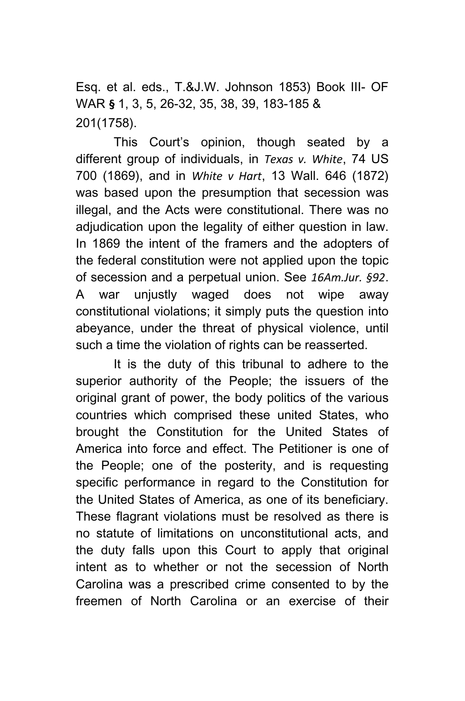Esq. et al. eds., T.&J.W. Johnson 1853) Book III- OF WAR **§** 1, 3, 5, 26-32, 35, 38, 39, 183-185 & 201(1758).

This Court's opinion, though seated by a different group of individuals, in *Texas v. White*, 74 US 700 (1869), and in *White v Hart*, 13 Wall. 646 (1872) was based upon the presumption that secession was illegal, and the Acts were constitutional. There was no adjudication upon the legality of either question in law. In 1869 the intent of the framers and the adopters of the federal constitution were not applied upon the topic of secession and a perpetual union. See *16Am.Jur. §92*. A war unjustly waged does not wipe away constitutional violations; it simply puts the question into abeyance, under the threat of physical violence, until such a time the violation of rights can be reasserted.

It is the duty of this tribunal to adhere to the superior authority of the People; the issuers of the original grant of power, the body politics of the various countries which comprised these united States, who brought the Constitution for the United States of America into force and effect. The Petitioner is one of the People; one of the posterity, and is requesting specific performance in regard to the Constitution for the United States of America, as one of its beneficiary. These flagrant violations must be resolved as there is no statute of limitations on unconstitutional acts, and the duty falls upon this Court to apply that original intent as to whether or not the secession of North Carolina was a prescribed crime consented to by the freemen of North Carolina or an exercise of their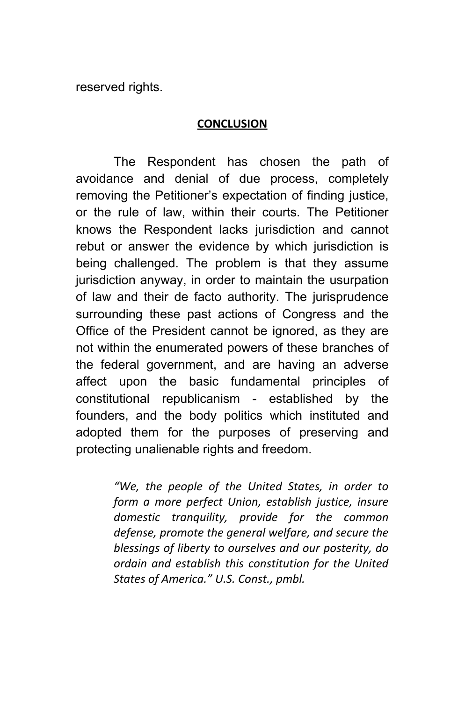reserved rights.

#### **CONCLUSION**

The Respondent has chosen the path of avoidance and denial of due process, completely removing the Petitioner's expectation of finding justice, or the rule of law, within their courts. The Petitioner knows the Respondent lacks jurisdiction and cannot rebut or answer the evidence by which jurisdiction is being challenged. The problem is that they assume jurisdiction anyway, in order to maintain the usurpation of law and their de facto authority. The jurisprudence surrounding these past actions of Congress and the Office of the President cannot be ignored, as they are not within the enumerated powers of these branches of the federal government, and are having an adverse affect upon the basic fundamental principles of constitutional republicanism - established by the founders, and the body politics which instituted and adopted them for the purposes of preserving and protecting unalienable rights and freedom.

> *"We, the people of the United States, in order to form a more perfect Union, establish justice, insure domestic tranquility, provide for the common defense, promote the general welfare, and secure the blessings of liberty to ourselves and our posterity, do ordain and establish this constitution for the United States of America." U.S. Const., pmbl.*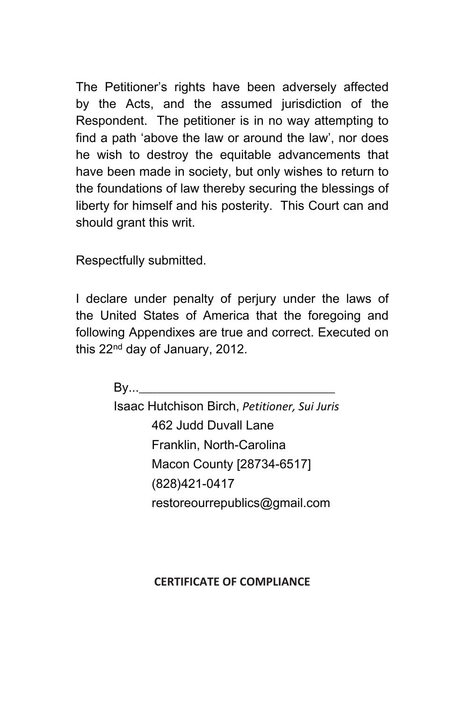The Petitioner's rights have been adversely affected by the Acts, and the assumed jurisdiction of the Respondent. The petitioner is in no way attempting to find a path 'above the law or around the law', nor does he wish to destroy the equitable advancements that have been made in society, but only wishes to return to the foundations of law thereby securing the blessings of liberty for himself and his posterity. This Court can and should grant this writ.

Respectfully submitted.

I declare under penalty of perjury under the laws of the United States of America that the foregoing and following Appendixes are true and correct. Executed on this 22nd day of January, 2012.

 $Bv...$ 

Isaac Hutchison Birch, *Petitioner, Sui Juris* 462 Judd Duvall Lane Franklin, North-Carolina Macon County [28734-6517] (828)421-0417 restoreourrepublics@gmail.com

## **CERTIFICATE OF COMPLIANCE**